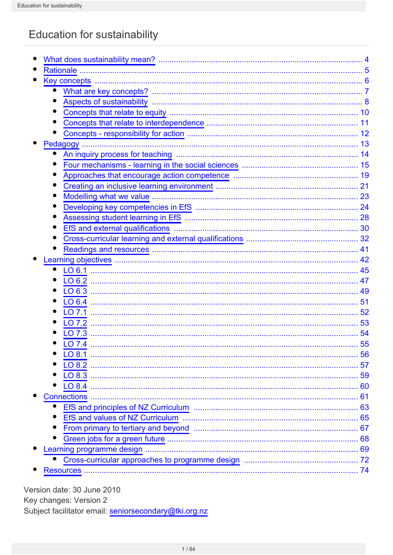# Education for sustainability

|                                 | $\overline{.8}$ |
|---------------------------------|-----------------|
|                                 | 10              |
|                                 | 11              |
|                                 |                 |
|                                 | 13              |
|                                 |                 |
|                                 |                 |
|                                 |                 |
|                                 |                 |
| Modelling what we value         |                 |
|                                 |                 |
|                                 |                 |
| EfS and external qualifications |                 |
|                                 |                 |
|                                 | 41              |
|                                 | 42              |
|                                 | 45              |
|                                 |                 |
|                                 | 49              |
|                                 | 51              |
|                                 | 52              |
| LO 7.2                          | 53              |
|                                 | 54              |
| LO 7.4                          | 55              |
|                                 | 56              |
|                                 | 57              |
|                                 |                 |
|                                 | 60              |
| <b>Connections</b>              | 61              |
|                                 |                 |
|                                 |                 |
|                                 | 67              |
|                                 |                 |
|                                 |                 |
|                                 |                 |

Version date: 30 June 2010 Key changes: Version 2 Subject facilitator email: seniorsecondary@tki.org.nz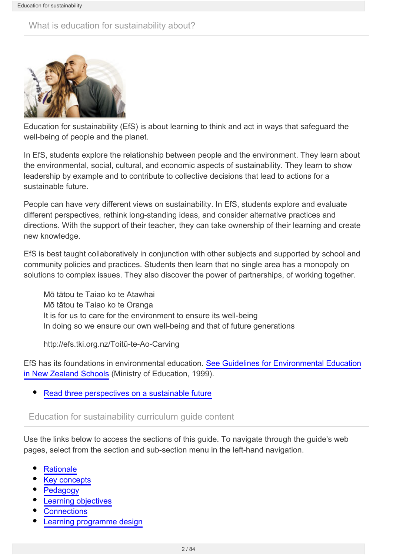## What is education for sustainability about?



Education for sustainability (EfS) is about learning to think and act in ways that safeguard the well-being of people and the planet.

In EfS, students explore the relationship between people and the environment. They learn about the environmental, social, cultural, and economic aspects of sustainability. They learn to show leadership by example and to contribute to collective decisions that lead to actions for a sustainable future.

People can have very different views on sustainability. In EfS, students explore and evaluate different perspectives, rethink long-standing ideas, and consider alternative practices and directions. With the support of their teacher, they can take ownership of their learning and create new knowledge.

EfS is best taught collaboratively in conjunction with other subjects and supported by school and community policies and practices. Students then learn that no single area has a monopoly on solutions to complex issues. They also discover the power of partnerships, of working together.

Mō tātou te Taiao ko te Atawhai Mō tātou te Taiao ko te Oranga It is for us to care for the environment to ensure its well-being In doing so we ensure our own well-being and that of future generations

http://efs.tki.org.nz/Toitū-te-Ao-Carving

EfS has its foundations in environmental education. [See Guidelines for Environmental Education](http://efs.tki.org.nz/Curriculum-resources-and-tools/Environmental-Education-Guidelines) [in New Zealand Schools](http://efs.tki.org.nz/Curriculum-resources-and-tools/Environmental-Education-Guidelines) (Ministry of Education, 1999).

• [Read three perspectives on a sustainable future](http://seniorsecondary.tki.org.nz/Social-sciences/Education-for-sustainability/What-does-sustainability-mean)

#### Education for sustainability curriculum guide content

Use the links below to access the sections of this guide. To navigate through the guide's web pages, select from the section and sub-section menu in the left-hand navigation.

- **[Rationale](http://seniorsecondary.tki.org.nz/Social-sciences/Education-for-sustainability/Rationale)**
- [Key concepts](http://seniorsecondary.tki.org.nz/Social-sciences/Education-for-sustainability/Key-concepts)
- [Pedagogy](http://seniorsecondary.tki.org.nz/Social-sciences/Education-for-sustainability/Pedagogy)
- [Learning objectives](http://seniorsecondary.tki.org.nz/Social-sciences/Education-for-sustainability/Learning-objectives)
- **[Connections](http://seniorsecondary.tki.org.nz/Social-sciences/Education-for-sustainability/Connections)**
- [Learning programme design](http://seniorsecondary.tki.org.nz/Social-sciences/Education-for-sustainability/Learning-programme-design)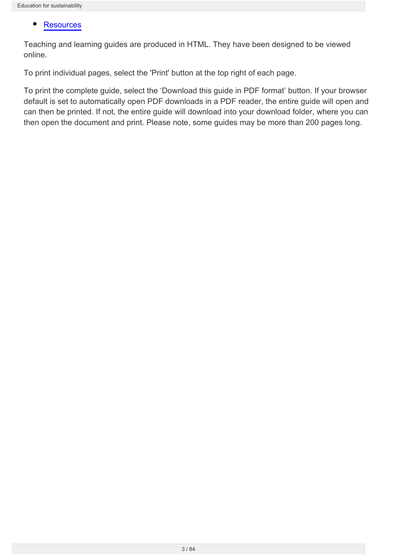#### $\bullet$ **[Resources](http://seniorsecondary.tki.org.nz/Social-sciences/Education-for-sustainability/Resources)**

Teaching and learning guides are produced in HTML. They have been designed to be viewed online.

To print individual pages, select the 'Print' button at the top right of each page.

To print the complete guide, select the 'Download this guide in PDF format' button. If your browser default is set to automatically open PDF downloads in a PDF reader, the entire guide will open and can then be printed. If not, the entire guide will download into your download folder, where you can then open the document and print. Please note, some guides may be more than 200 pages long.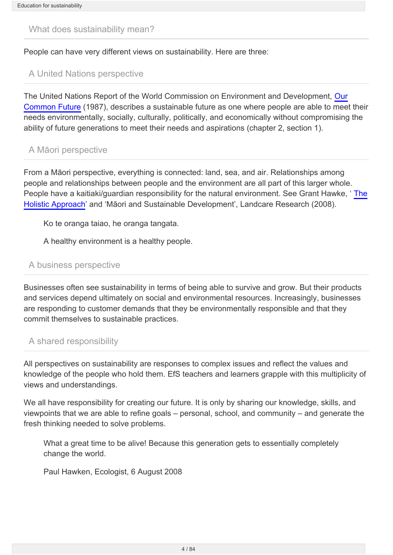#### <span id="page-3-0"></span>What does sustainability mean?

People can have very different views on sustainability. Here are three:

## A United Nations perspective

The United Nations Report of the World Commission on Environment and Development, [Our](http://www.un-documents.net/wced-ocf.htm) [Common Future](http://www.un-documents.net/wced-ocf.htm) (1987), describes a sustainable future as one where people are able to meet their needs environmentally, socially, culturally, politically, and economically without compromising the ability of future generations to meet their needs and aspirations (chapter 2, section 1).

#### A Māori perspective

From a Māori perspective, everything is connected: land, sea, and air. Relationships among people and relationships between people and the environment are all part of this larger whole. People have a kaitiaki/guardian responsibility for the natural environment. See Grant Hawke, ' [The](http://www.landcareresearch.co.nz/about/sustainability/voices/perspectives/invited-external-thinkpieces/grant-hawke-the-holistic-approach) [Holistic Approach](http://www.landcareresearch.co.nz/about/sustainability/voices/perspectives/invited-external-thinkpieces/grant-hawke-the-holistic-approach)' and 'Māori and Sustainable Development', Landcare Research (2008).

Ko te oranga taiao, he oranga tangata.

A healthy environment is a healthy people.

#### A business perspective

Businesses often see sustainability in terms of being able to survive and grow. But their products and services depend ultimately on social and environmental resources. Increasingly, businesses are responding to customer demands that they be environmentally responsible and that they commit themselves to sustainable practices.

#### A shared responsibility

All perspectives on sustainability are responses to complex issues and reflect the values and knowledge of the people who hold them. EfS teachers and learners grapple with this multiplicity of views and understandings.

We all have responsibility for creating our future. It is only by sharing our knowledge, skills, and viewpoints that we are able to refine goals – personal, school, and community – and generate the fresh thinking needed to solve problems.

What a great time to be alive! Because this generation gets to essentially completely change the world.

Paul Hawken, Ecologist, 6 August 2008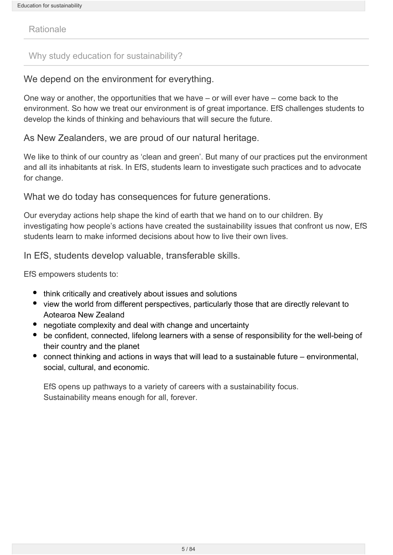<span id="page-4-0"></span>Rationale

### Why study education for sustainability?

## We depend on the environment for everything.

One way or another, the opportunities that we have – or will ever have – come back to the environment. So how we treat our environment is of great importance. EfS challenges students to develop the kinds of thinking and behaviours that will secure the future.

As New Zealanders, we are proud of our natural heritage.

We like to think of our country as 'clean and green'. But many of our practices put the environment and all its inhabitants at risk. In EfS, students learn to investigate such practices and to advocate for change.

What we do today has consequences for future generations.

Our everyday actions help shape the kind of earth that we hand on to our children. By investigating how people's actions have created the sustainability issues that confront us now, EfS students learn to make informed decisions about how to live their own lives.

In EfS, students develop valuable, transferable skills.

EfS empowers students to:

- think critically and creatively about issues and solutions
- view the world from different perspectives, particularly those that are directly relevant to Aotearoa New Zealand
- negotiate complexity and deal with change and uncertainty
- be confident, connected, lifelong learners with a sense of responsibility for the well-being of their country and the planet
- connect thinking and actions in ways that will lead to a sustainable future environmental, social, cultural, and economic.

EfS opens up pathways to a variety of careers with a sustainability focus. Sustainability means enough for all, forever.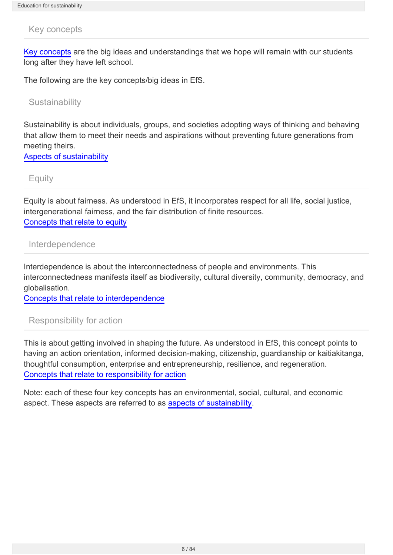#### <span id="page-5-0"></span>Key concepts

[Key concepts](http://seniorsecondary.tki.org.nz/Social-sciences/Education-for-sustainability/Key-concepts/What-are-key-concepts) are the big ideas and understandings that we hope will remain with our students long after they have left school.

The following are the key concepts/big ideas in EfS.

**Sustainability** 

Sustainability is about individuals, groups, and societies adopting ways of thinking and behaving that allow them to meet their needs and aspirations without preventing future generations from meeting theirs.

[Aspects of sustainability](http://seniorsecondary.tki.org.nz/Social-sciences/Education-for-sustainability/Key-concepts/Aspects-of-sustainability)

**Equity** 

Equity is about fairness. As understood in EfS, it incorporates respect for all life, social justice, intergenerational fairness, and the fair distribution of finite resources. [Concepts that relate to equity](http://seniorsecondary.tki.org.nz/Social-sciences/Education-for-sustainability/Key-concepts/Concepts-that-relate-to-equity)

#### Interdependence

Interdependence is about the interconnectedness of people and environments. This interconnectedness manifests itself as biodiversity, cultural diversity, community, democracy, and globalisation.

[Concepts that relate to interdependence](http://seniorsecondary.tki.org.nz/Social-sciences/Education-for-sustainability/Key-concepts/Concepts-that-relate-to-interdependence)

Responsibility for action

This is about getting involved in shaping the future. As understood in EfS, this concept points to having an action orientation, informed decision-making, citizenship, guardianship or kaitiakitanga, thoughtful consumption, enterprise and entrepreneurship, resilience, and regeneration. [Concepts that relate to responsibility for action](http://seniorsecondary.tki.org.nz/Social-sciences/Education-for-sustainability/Key-concepts/Concepts-responsibility-for-action)

Note: each of these four key concepts has an environmental, social, cultural, and economic aspect. These aspects are referred to as [aspects of sustainability.](http://seniorsecondary.tki.org.nz/Social-sciences/Education-for-sustainability/Key-concepts/Aspects-of-sustainability)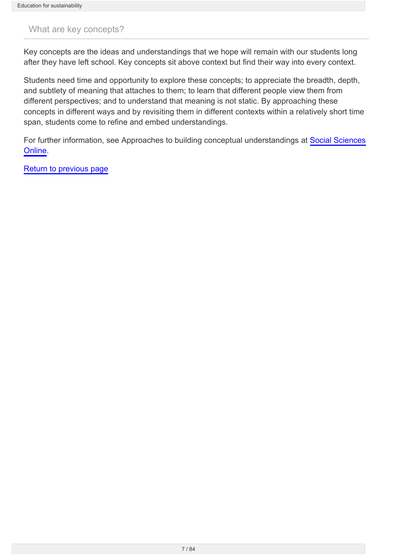## <span id="page-6-0"></span>What are key concepts?

Key concepts are the ideas and understandings that we hope will remain with our students long after they have left school. Key concepts sit above context but find their way into every context.

Students need time and opportunity to explore these concepts; to appreciate the breadth, depth, and subtlety of meaning that attaches to them; to learn that different people view them from different perspectives; and to understand that meaning is not static. By approaching these concepts in different ways and by revisiting them in different contexts within a relatively short time span, students come to refine and embed understandings.

For further information, see Approaches to building conceptual understandings at [Social Sciences](http://ssol.tki.org.nz/) [Online.](http://ssol.tki.org.nz/)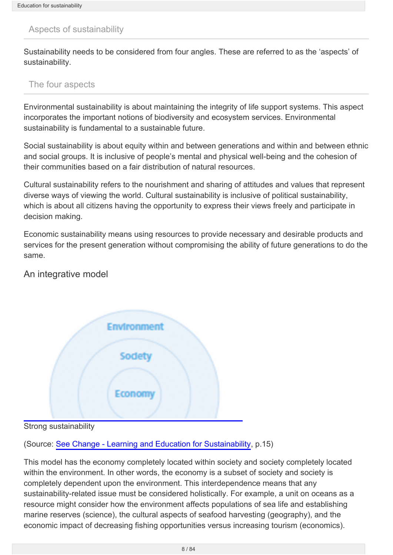## <span id="page-7-0"></span>Aspects of sustainability

Sustainability needs to be considered from four angles. These are referred to as the 'aspects' of sustainability.

#### The four aspects

Environmental sustainability is about maintaining the integrity of life support systems. This aspect incorporates the important notions of biodiversity and ecosystem services. Environmental sustainability is fundamental to a sustainable future.

Social sustainability is about equity within and between generations and within and between ethnic and social groups. It is inclusive of people's mental and physical well-being and the cohesion of their communities based on a fair distribution of natural resources.

Cultural sustainability refers to the nourishment and sharing of attitudes and values that represent diverse ways of viewing the world. Cultural sustainability is inclusive of political sustainability, which is about all citizens having the opportunity to express their views freely and participate in decision making.

Economic sustainability means using resources to provide necessary and desirable products and services for the present generation without compromising the ability of future generations to do the same.

## An integrative model



Strong sustainability

(Source: [See Change - Learning and Education for Sustainability](http://www.pce.parliament.nz/publications/all-publications/see-change-learning-and-education-for-sustainability), p.15)

This model has the economy completely located within society and society completely located within the environment. In other words, the economy is a subset of society and society is completely dependent upon the environment. This interdependence means that any sustainability-related issue must be considered holistically. For example, a unit on oceans as a resource might consider how the environment affects populations of sea life and establishing marine reserves (science), the cultural aspects of seafood harvesting (geography), and the economic impact of decreasing fishing opportunities versus increasing tourism (economics).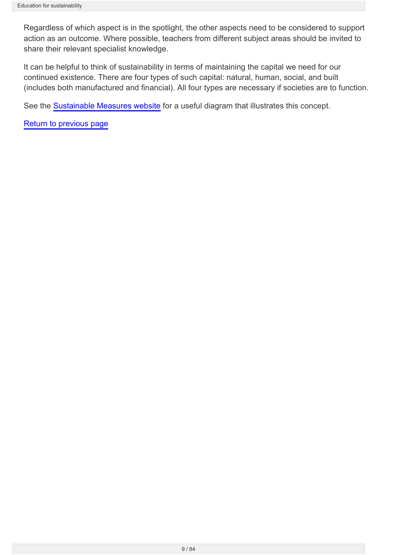Regardless of which aspect is in the spotlight, the other aspects need to be considered to support action as an outcome. Where possible, teachers from different subject areas should be invited to share their relevant specialist knowledge.

It can be helpful to think of sustainability in terms of maintaining the capital we need for our continued existence. There are four types of such capital: natural, human, social, and built (includes both manufactured and financial). All four types are necessary if societies are to function.

See the [Sustainable Measures website](http://www.sustainablemeasures.com/node/32) for a useful diagram that illustrates this concept.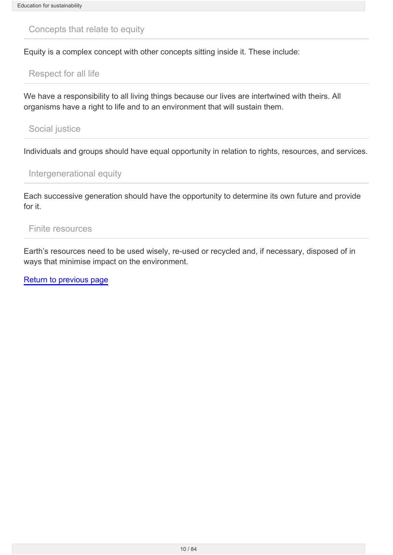<span id="page-9-0"></span>Concepts that relate to equity

Equity is a complex concept with other concepts sitting inside it. These include:

Respect for all life

We have a responsibility to all living things because our lives are intertwined with theirs. All organisms have a right to life and to an environment that will sustain them.

Social justice

Individuals and groups should have equal opportunity in relation to rights, resources, and services.

Intergenerational equity

Each successive generation should have the opportunity to determine its own future and provide for it.

Finite resources

Earth's resources need to be used wisely, re-used or recycled and, if necessary, disposed of in ways that minimise impact on the environment.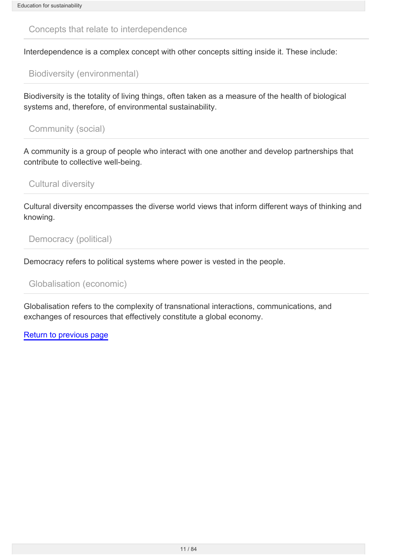<span id="page-10-0"></span>Concepts that relate to interdependence

Interdependence is a complex concept with other concepts sitting inside it. These include:

Biodiversity (environmental)

Biodiversity is the totality of living things, often taken as a measure of the health of biological systems and, therefore, of environmental sustainability.

Community (social)

A community is a group of people who interact with one another and develop partnerships that contribute to collective well-being.

Cultural diversity

Cultural diversity encompasses the diverse world views that inform different ways of thinking and knowing.

Democracy (political)

Democracy refers to political systems where power is vested in the people.

Globalisation (economic)

Globalisation refers to the complexity of transnational interactions, communications, and exchanges of resources that effectively constitute a global economy.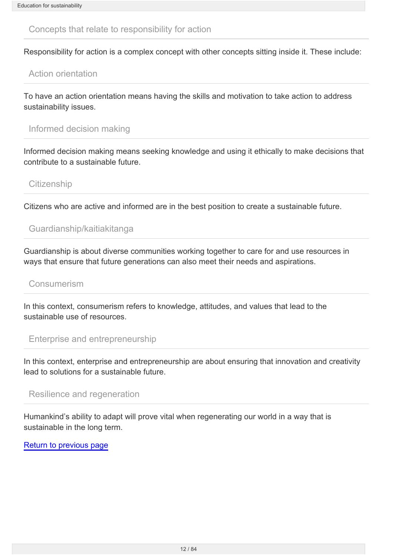<span id="page-11-0"></span>Concepts that relate to responsibility for action

Responsibility for action is a complex concept with other concepts sitting inside it. These include:

## Action orientation

To have an action orientation means having the skills and motivation to take action to address sustainability issues.

## Informed decision making

Informed decision making means seeking knowledge and using it ethically to make decisions that contribute to a sustainable future.

## **Citizenship**

Citizens who are active and informed are in the best position to create a sustainable future.

## Guardianship/kaitiakitanga

Guardianship is about diverse communities working together to care for and use resources in ways that ensure that future generations can also meet their needs and aspirations.

#### Consumerism

In this context, consumerism refers to knowledge, attitudes, and values that lead to the sustainable use of resources.

#### Enterprise and entrepreneurship

In this context, enterprise and entrepreneurship are about ensuring that innovation and creativity lead to solutions for a sustainable future.

#### Resilience and regeneration

Humankind's ability to adapt will prove vital when regenerating our world in a way that is sustainable in the long term.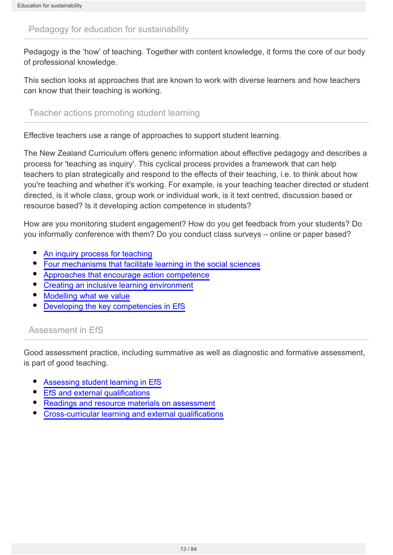## <span id="page-12-0"></span>Pedagogy for education for sustainability

Pedagogy is the 'how' of teaching. Together with content knowledge, it forms the core of our body of professional knowledge.

This section looks at approaches that are known to work with diverse learners and how teachers can know that their teaching is working.

Teacher actions promoting student learning

Effective teachers use a range of approaches to support student learning.

The New Zealand Curriculum offers generic information about effective pedagogy and describes a process for 'teaching as inquiry'. This cyclical process provides a framework that can help teachers to plan strategically and respond to the effects of their teaching, i.e. to think about how you're teaching and whether it's working. For example, is your teaching teacher directed or student directed, is it whole class, group work or individual work, is it text centred, discussion based or resource based? Is it developing action competence in students?

How are you monitoring student engagement? How do you get feedback from your students? Do you informally conference with them? Do you conduct class surveys – online or paper based?

- [An inquiry process for teaching](http://seniorsecondary.tki.org.nz/Social-sciences/Education-for-sustainability/Pedagogy/An-inquiry-process-for-teaching)
- [Four mechanisms that facilitate learning in the social sciences](http://seniorsecondary.tki.org.nz/Social-sciences/Education-for-sustainability/Pedagogy/Four-mechanisms-learning-in-the-social-sciences)  $\bullet$
- [Approaches that encourage action competence](http://seniorsecondary.tki.org.nz/Social-sciences/Education-for-sustainability/Pedagogy/Approaches-that-encourage-action-competence)
- [Creating an inclusive learning environment](http://seniorsecondary.tki.org.nz/Social-sciences/Education-for-sustainability/Pedagogy/Creating-an-inclusive-learning-environment)
- [Modelling what we value](http://seniorsecondary.tki.org.nz/Social-sciences/Education-for-sustainability/Pedagogy/Modelling-what-we-value)
- [Developing the key competencies in EfS](http://seniorsecondary.tki.org.nz/Social-sciences/Education-for-sustainability/Pedagogy/Developing-key-competencies-in-EfS)

## Assessment in EfS

Good assessment practice, including summative as well as diagnostic and formative assessment, is part of good teaching.

- [Assessing student learning in EfS](http://seniorsecondary.tki.org.nz/Social-sciences/Education-for-sustainability/Pedagogy/Assessing-student-learning-in-EfS)
- [EfS and external qualifications](http://seniorsecondary.tki.org.nz/Social-sciences/Education-for-sustainability/Pedagogy/EfS-and-external-qualifications)
- [Readings and resource materials on assessment](http://seniorsecondary.tki.org.nz/Social-sciences/Education-for-sustainability/Pedagogy/Readings-and-resources)
- [Cross-curricular learning and external qualifications](http://seniorsecondary.tki.org.nz/Social-sciences/Education-for-sustainability/Pedagogy/Cross-curricular-learning-and-external-qualifications)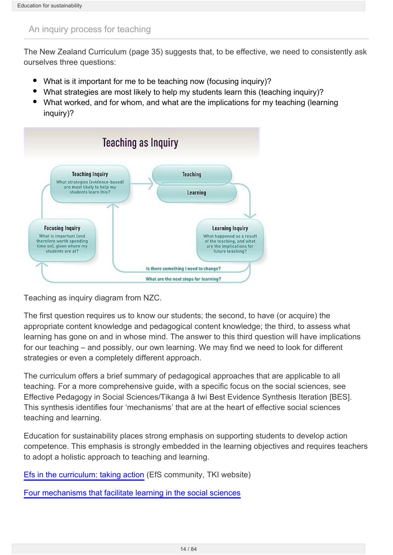## <span id="page-13-0"></span>An inquiry process for teaching

The New Zealand Curriculum (page 35) suggests that, to be effective, we need to consistently ask ourselves three questions:

- What is it important for me to be teaching now (focusing inquiry)?
- What strategies are most likely to help my students learn this (teaching inquiry)?
- What worked, and for whom, and what are the implications for my teaching (learning inquiry)?



Teaching as inquiry diagram from NZC.

The first question requires us to know our students; the second, to have (or acquire) the appropriate content knowledge and pedagogical content knowledge; the third, to assess what learning has gone on and in whose mind. The answer to this third question will have implications for our teaching – and possibly, our own learning. We may find we need to look for different strategies or even a completely different approach.

The curriculum offers a brief summary of pedagogical approaches that are applicable to all teaching. For a more comprehensive guide, with a specific focus on the social sciences, see Effective Pedagogy in Social Sciences/Tikanga ā Iwi Best Evidence Synthesis Iteration [BES]. This synthesis identifies four 'mechanisms' that are at the heart of effective social sciences teaching and learning.

Education for sustainability places strong emphasis on supporting students to develop action competence. This emphasis is strongly embedded in the learning objectives and requires teachers to adopt a holistic approach to teaching and learning.

[Efs in the curriculum: taking action](http://efs.tki.org.nz/EfS-in-the-curriculum/Taking-action/Action-competence) (EfS community, TKI website)

[Four mechanisms that facilitate learning in the social sciences](http://seniorsecondary.tki.org.nz/Social-sciences/Education-for-sustainability/Pedagogy/Four-mechanisms-learning-in-the-social-sciences)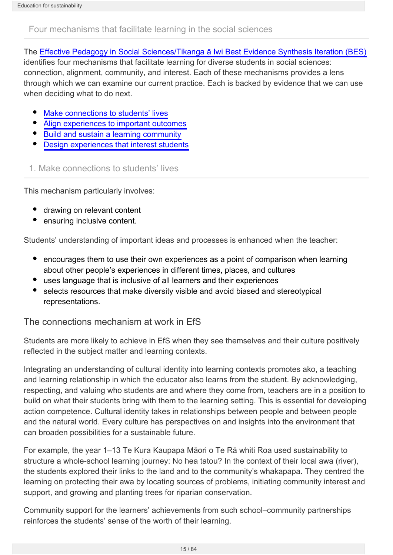## <span id="page-14-0"></span>Four mechanisms that facilitate learning in the social sciences

The [Effective Pedagogy in Social Sciences/Tikanga ā Iwi Best Evidence Synthesis Iteration \(BES\)](http://www.educationcounts.govt.nz/publications/series/2515/32879/35263)

identifies four mechanisms that facilitate learning for diverse students in social sciences: connection, alignment, community, and interest. Each of these mechanisms provides a lens through which we can examine our current practice. Each is backed by evidence that we can use when deciding what to do next.

- [Make connections to students' lives](#page-14-1)
- $\bullet$ [Align experiences to important outcomes](#page-15-0)
- [Build and sustain a learning community](#page-16-0)
- [Design experiences that interest students](#page-17-0)

<span id="page-14-1"></span>1. Make connections to students' lives

This mechanism particularly involves:

- drawing on relevant content
- ensuring inclusive content.

Students' understanding of important ideas and processes is enhanced when the teacher:

- encourages them to use their own experiences as a point of comparison when learning about other people's experiences in different times, places, and cultures
- uses language that is inclusive of all learners and their experiences
- selects resources that make diversity visible and avoid biased and stereotypical representations.

The connections mechanism at work in EfS

Students are more likely to achieve in EfS when they see themselves and their culture positively reflected in the subject matter and learning contexts.

Integrating an understanding of cultural identity into learning contexts promotes ako, a teaching and learning relationship in which the educator also learns from the student. By acknowledging, respecting, and valuing who students are and where they come from, teachers are in a position to build on what their students bring with them to the learning setting. This is essential for developing action competence. Cultural identity takes in relationships between people and between people and the natural world. Every culture has perspectives on and insights into the environment that can broaden possibilities for a sustainable future.

For example, the year 1–13 Te Kura Kaupapa Māori o Te Rā whiti Roa used sustainability to structure a whole-school learning journey: No hea tatou? In the context of their local awa (river), the students explored their links to the land and to the community's whakapapa. They centred the learning on protecting their awa by locating sources of problems, initiating community interest and support, and growing and planting trees for riparian conservation.

Community support for the learners' achievements from such school–community partnerships reinforces the students' sense of the worth of their learning.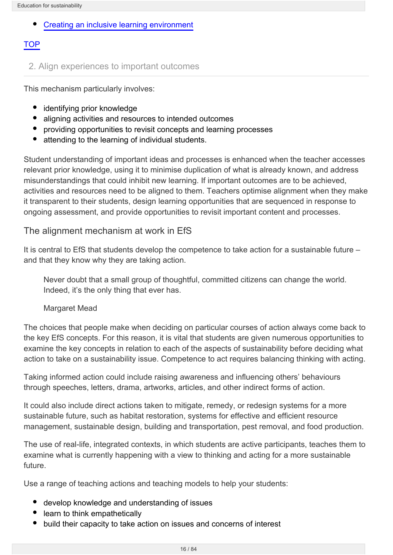Education for sustainability

#### [Creating an inclusive learning environment](http://seniorsecondary.tki.org.nz/Social-sciences/Education-for-sustainability/Pedagogy/Creating-an-inclusive-learning-environment)

## **TOP**

## <span id="page-15-0"></span>2. Align experiences to important outcomes

This mechanism particularly involves:

- $\bullet$ identifying prior knowledge
- aligning activities and resources to intended outcomes
- providing opportunities to revisit concepts and learning processes
- attending to the learning of individual students.

Student understanding of important ideas and processes is enhanced when the teacher accesses relevant prior knowledge, using it to minimise duplication of what is already known, and address misunderstandings that could inhibit new learning. If important outcomes are to be achieved, activities and resources need to be aligned to them. Teachers optimise alignment when they make it transparent to their students, design learning opportunities that are sequenced in response to ongoing assessment, and provide opportunities to revisit important content and processes.

#### The alignment mechanism at work in EfS

It is central to EfS that students develop the competence to take action for a sustainable future – and that they know why they are taking action.

Never doubt that a small group of thoughtful, committed citizens can change the world. Indeed, it's the only thing that ever has.

#### Margaret Mead

The choices that people make when deciding on particular courses of action always come back to the key EfS concepts. For this reason, it is vital that students are given numerous opportunities to examine the key concepts in relation to each of the aspects of sustainability before deciding what action to take on a sustainability issue. Competence to act requires balancing thinking with acting.

Taking informed action could include raising awareness and influencing others' behaviours through speeches, letters, drama, artworks, articles, and other indirect forms of action.

It could also include direct actions taken to mitigate, remedy, or redesign systems for a more sustainable future, such as habitat restoration, systems for effective and efficient resource management, sustainable design, building and transportation, pest removal, and food production.

The use of real-life, integrated contexts, in which students are active participants, teaches them to examine what is currently happening with a view to thinking and acting for a more sustainable future.

Use a range of teaching actions and teaching models to help your students:

- develop knowledge and understanding of issues
- learn to think empathetically
- build their capacity to take action on issues and concerns of interest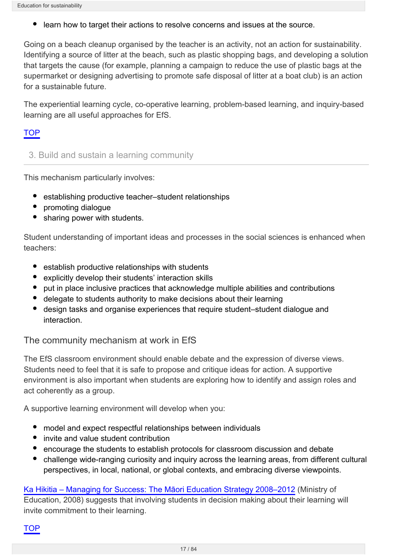learn how to target their actions to resolve concerns and issues at the source.

Going on a beach cleanup organised by the teacher is an activity, not an action for sustainability. Identifying a source of litter at the beach, such as plastic shopping bags, and developing a solution that targets the cause (for example, planning a campaign to reduce the use of plastic bags at the supermarket or designing advertising to promote safe disposal of litter at a boat club) is an action for a sustainable future.

The experiential learning cycle, co-operative learning, problem-based learning, and inquiry-based learning are all useful approaches for EfS.

## TOP

## <span id="page-16-0"></span>3. Build and sustain a learning community

This mechanism particularly involves:

- $\bullet$ establishing productive teacher–student relationships
- promoting dialogue
- sharing power with students.

Student understanding of important ideas and processes in the social sciences is enhanced when teachers:

- establish productive relationships with students
- explicitly develop their students' interaction skills
- put in place inclusive practices that acknowledge multiple abilities and contributions
- delegate to students authority to make decisions about their learning
- design tasks and organise experiences that require student–student dialogue and interaction.

The community mechanism at work in EfS

The EfS classroom environment should enable debate and the expression of diverse views. Students need to feel that it is safe to propose and critique ideas for action. A supportive environment is also important when students are exploring how to identify and assign roles and act coherently as a group.

A supportive learning environment will develop when you:

- model and expect respectful relationships between individuals
- invite and value student contribution
- encourage the students to establish protocols for classroom discussion and debate
- challenge wide-ranging curiosity and inquiry across the learning areas, from different cultural perspectives, in local, national, or global contexts, and embracing diverse viewpoints.

[Ka Hikitia – Managing for Success: The Māori Education Strategy 2008–2012](http://www.minedu.govt.nz/theMinistry/PolicyAndStrategy/KaHikitia.aspx) (Ministry of Education, 2008) suggests that involving students in decision making about their learning will invite commitment to their learning.

TOP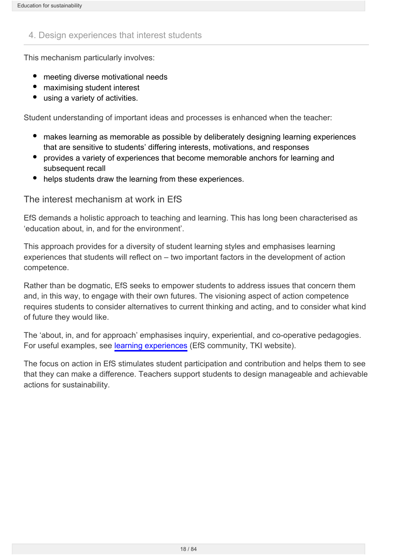## <span id="page-17-0"></span>4. Design experiences that interest students

This mechanism particularly involves:

- meeting diverse motivational needs
- $\bullet$ maximising student interest
- using a variety of activities.

Student understanding of important ideas and processes is enhanced when the teacher:

- makes learning as memorable as possible by deliberately designing learning experiences that are sensitive to students' differing interests, motivations, and responses
- provides a variety of experiences that become memorable anchors for learning and subsequent recall
- helps students draw the learning from these experiences.

#### The interest mechanism at work in EfS

EfS demands a holistic approach to teaching and learning. This has long been characterised as 'education about, in, and for the environment'.

This approach provides for a diversity of student learning styles and emphasises learning experiences that students will reflect on – two important factors in the development of action competence.

Rather than be dogmatic, EfS seeks to empower students to address issues that concern them and, in this way, to engage with their own futures. The visioning aspect of action competence requires students to consider alternatives to current thinking and acting, and to consider what kind of future they would like.

The 'about, in, and for approach' emphasises inquiry, experiential, and co-operative pedagogies. For useful examples, see [learning experiences](http://efs.tki.org.nz/Curriculum-resources-and-tools/Learning-Experiences) (EfS community, TKI website).

The focus on action in EfS stimulates student participation and contribution and helps them to see that they can make a difference. Teachers support students to design manageable and achievable actions for sustainability.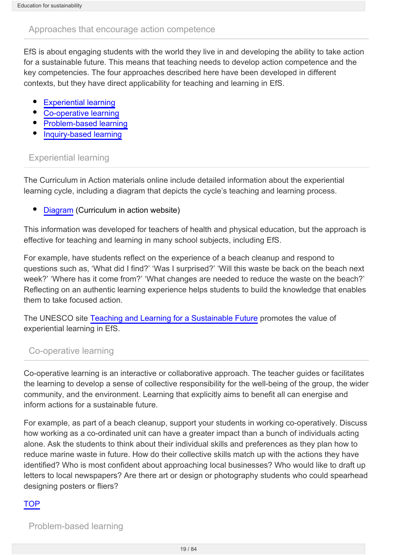## <span id="page-18-0"></span>Approaches that encourage action competence

EfS is about engaging students with the world they live in and developing the ability to take action for a sustainable future. This means that teaching needs to develop action competence and the key competencies. The four approaches described here have been developed in different contexts, but they have direct applicability for teaching and learning in EfS.

- [Experiential learning](#page-18-1)
- [Co-operative learning](#page-18-2)  $\bullet$
- [Problem-based learning](#page-18-3)
- [Inquiry-based learning](#page-19-0)

## <span id="page-18-1"></span>Experiential learning

The Curriculum in Action materials online include detailed information about the experiential learning cycle, including a diagram that depicts the cycle's teaching and learning process.

[Diagram](http://www.tki.org.nz/r/health/cia/make_meaning/teach_learnappr_cyc_e.php) (Curriculum in action website)

This information was developed for teachers of health and physical education, but the approach is effective for teaching and learning in many school subjects, including EfS.

For example, have students reflect on the experience of a beach cleanup and respond to questions such as, 'What did I find?' 'Was I surprised?' 'Will this waste be back on the beach next week?' 'Where has it come from?' 'What changes are needed to reduce the waste on the beach?' Reflecting on an authentic learning experience helps students to build the knowledge that enables them to take focused action.

The UNESCO site [Teaching and Learning for a Sustainable Future](http://www.unesco.org/education/tlsf/) promotes the value of experiential learning in EfS.

## <span id="page-18-2"></span>Co-operative learning

Co-operative learning is an interactive or collaborative approach. The teacher guides or facilitates the learning to develop a sense of collective responsibility for the well-being of the group, the wider community, and the environment. Learning that explicitly aims to benefit all can energise and inform actions for a sustainable future.

For example, as part of a beach cleanup, support your students in working co-operatively. Discuss how working as a co-ordinated unit can have a greater impact than a bunch of individuals acting alone. Ask the students to think about their individual skills and preferences as they plan how to reduce marine waste in future. How do their collective skills match up with the actions they have identified? Who is most confident about approaching local businesses? Who would like to draft up letters to local newspapers? Are there art or design or photography students who could spearhead designing posters or fliers?

## **TOP**

<span id="page-18-3"></span>Problem-based learning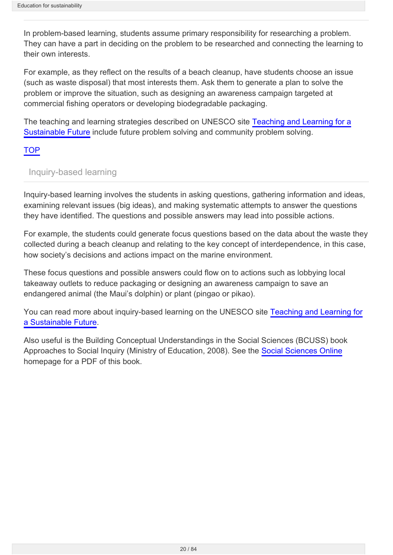In problem-based learning, students assume primary responsibility for researching a problem. They can have a part in deciding on the problem to be researched and connecting the learning to their own interests.

For example, as they reflect on the results of a beach cleanup, have students choose an issue (such as waste disposal) that most interests them. Ask them to generate a plan to solve the problem or improve the situation, such as designing an awareness campaign targeted at commercial fishing operators or developing biodegradable packaging.

The teaching and learning strategies described on UNESCO site [Teaching and Learning for a](http://www.unesco.org/education/tlsf/) [Sustainable Future](http://www.unesco.org/education/tlsf/) include future problem solving and community problem solving.

#### **TOP**

## <span id="page-19-0"></span>Inquiry-based learning

Inquiry-based learning involves the students in asking questions, gathering information and ideas, examining relevant issues (big ideas), and making systematic attempts to answer the questions they have identified. The questions and possible answers may lead into possible actions.

For example, the students could generate focus questions based on the data about the waste they collected during a beach cleanup and relating to the key concept of interdependence, in this case, how society's decisions and actions impact on the marine environment.

These focus questions and possible answers could flow on to actions such as lobbying local takeaway outlets to reduce packaging or designing an awareness campaign to save an endangered animal (the Maui's dolphin) or plant (pingao or pikao).

You can read more about inquiry-based learning on the UNESCO site [Teaching and Learning for](http://www.unesco.org/education/tlsf/) [a Sustainable Future.](http://www.unesco.org/education/tlsf/)

Also useful is the Building Conceptual Understandings in the Social Sciences (BCUSS) book Approaches to Social Inquiry (Ministry of Education, 2008). See the [Social Sciences Online](http://ssol.tki.org.nz/) homepage for a PDF of this book.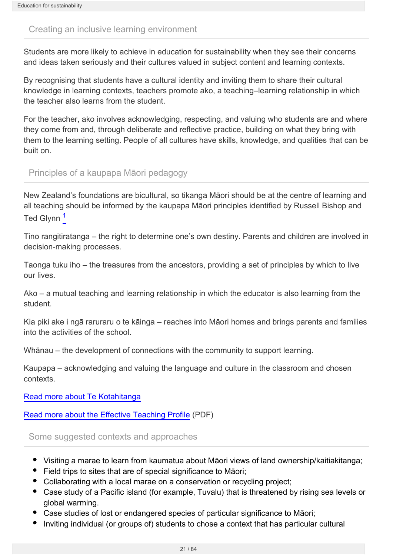#### <span id="page-20-0"></span>Creating an inclusive learning environment

Students are more likely to achieve in education for sustainability when they see their concerns and ideas taken seriously and their cultures valued in subject content and learning contexts.

By recognising that students have a cultural identity and inviting them to share their cultural knowledge in learning contexts, teachers promote ako, a teaching–learning relationship in which the teacher also learns from the student.

For the teacher, ako involves acknowledging, respecting, and valuing who students are and where they come from and, through deliberate and reflective practice, building on what they bring with them to the learning setting. People of all cultures have skills, knowledge, and qualities that can be built on.

Principles of a kaupapa Māori pedagogy

New Zealand's foundations are bicultural, so tikanga Māori should be at the centre of learning and all teaching should be informed by the kaupapa Māori principles identified by Russell Bishop and Ted Glynn<sup>[1](#page-21-0)</sup>

Tino rangitiratanga – the right to determine one's own destiny. Parents and children are involved in decision-making processes.

Taonga tuku iho – the treasures from the ancestors, providing a set of principles by which to live our lives.

Ako – a mutual teaching and learning relationship in which the educator is also learning from the student.

Kia piki ake i ngā raruraru o te kāinga – reaches into Māori homes and brings parents and families into the activities of the school.

Whānau – the development of connections with the community to support learning.

Kaupapa – acknowledging and valuing the language and culture in the classroom and chosen contexts.

[Read more about Te Kotahitanga](http://www.edgazette.govt.nz/Articles/Article.aspx?ArticleId=7349)

[Read more about the Effective Teaching Profile](http://www.edplus.canterbury.ac.nz/star/documents/maori_effective_teaching_profile.pdf) (PDF)

Some suggested contexts and approaches

- Visiting a marae to learn from kaumatua about Māori views of land ownership/kaitiakitanga;
- Field trips to sites that are of special significance to Māori;
- Collaborating with a local marae on a conservation or recycling project;
- Case study of a Pacific island (for example, Tuvalu) that is threatened by rising sea levels or global warming.
- Case studies of lost or endangered species of particular significance to Māori;
- Inviting individual (or groups of) students to chose a context that has particular cultural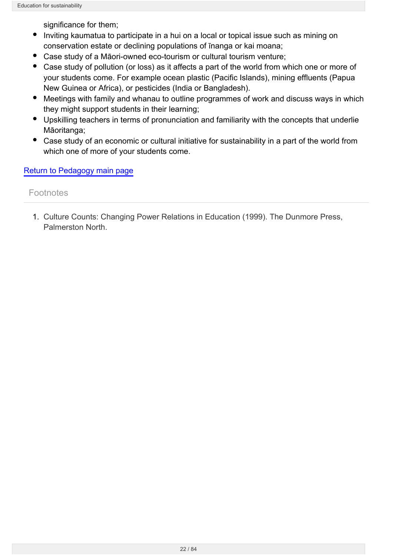significance for them;

- Inviting kaumatua to participate in a hui on a local or topical issue such as mining on conservation estate or declining populations of īnanga or kai moana;
- Case study of a Māori-owned eco-tourism or cultural tourism venture;
- Case study of pollution (or loss) as it affects a part of the world from which one or more of your students come. For example ocean plastic (Pacific Islands), mining effluents (Papua New Guinea or Africa), or pesticides (India or Bangladesh).
- Meetings with family and whanau to outline programmes of work and discuss ways in which they might support students in their learning;
- Upskilling teachers in terms of pronunciation and familiarity with the concepts that underlie Māoritanga;
- Case study of an economic or cultural initiative for sustainability in a part of the world from which one of more of your students come.

## [Return to Pedagogy main page](http://seniorsecondary.tki.org.nz/Social-sciences/Education-for-sustainability/Pedagogy)

## **Footnotes**

<span id="page-21-0"></span>1. Culture Counts: Changing Power Relations in Education (1999). The Dunmore Press, Palmerston North.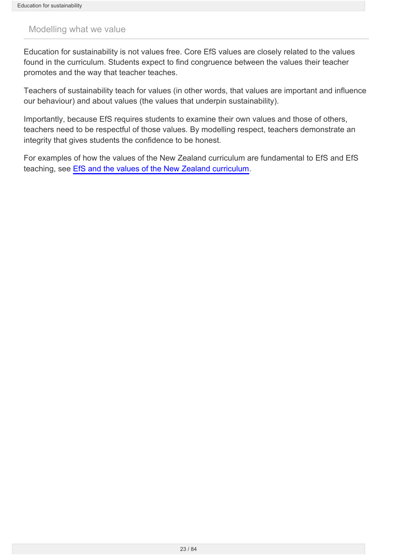#### <span id="page-22-0"></span>Modelling what we value

Education for sustainability is not values free. Core EfS values are closely related to the values found in the curriculum. Students expect to find congruence between the values their teacher promotes and the way that teacher teaches.

Teachers of sustainability teach for values (in other words, that values are important and influence our behaviour) and about values (the values that underpin sustainability).

Importantly, because EfS requires students to examine their own values and those of others, teachers need to be respectful of those values. By modelling respect, teachers demonstrate an integrity that gives students the confidence to be honest.

For examples of how the values of the New Zealand curriculum are fundamental to EfS and EfS teaching, see [EfS and the values of the New Zealand curriculum.](http://seniorsecondary.tki.org.nz/Social-sciences/Education-for-sustainability/Connections/EfS-and-values-of-NZ-Curriculum)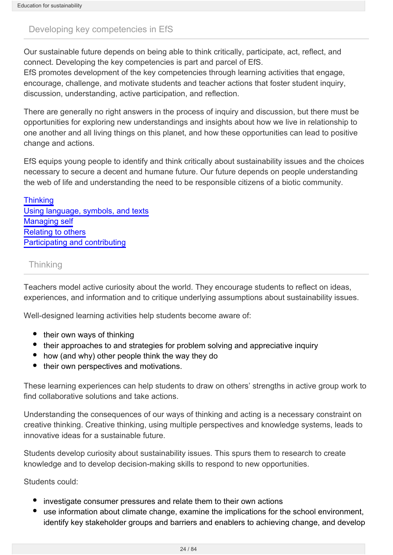## <span id="page-23-0"></span>Developing key competencies in EfS

Our sustainable future depends on being able to think critically, participate, act, reflect, and connect. Developing the key competencies is part and parcel of EfS.

EfS promotes development of the key competencies through learning activities that engage, encourage, challenge, and motivate students and teacher actions that foster student inquiry, discussion, understanding, active participation, and reflection.

There are generally no right answers in the process of inquiry and discussion, but there must be opportunities for exploring new understandings and insights about how we live in relationship to one another and all living things on this planet, and how these opportunities can lead to positive change and actions.

EfS equips young people to identify and think critically about sustainability issues and the choices necessary to secure a decent and humane future. Our future depends on people understanding the web of life and understanding the need to be responsible citizens of a biotic community.

**[Thinking](#page-23-1)** [Using language, symbols, and texts](#page-24-0) [Managing self](#page-24-1) [Relating to others](#page-25-0) [Participating and contributing](#page-25-1)

## <span id="page-23-1"></span>**Thinking**

Teachers model active curiosity about the world. They encourage students to reflect on ideas, experiences, and information and to critique underlying assumptions about sustainability issues.

Well-designed learning activities help students become aware of:

- their own ways of thinking
- their approaches to and strategies for problem solving and appreciative inquiry
- how (and why) other people think the way they do
- their own perspectives and motivations.

These learning experiences can help students to draw on others' strengths in active group work to find collaborative solutions and take actions.

Understanding the consequences of our ways of thinking and acting is a necessary constraint on creative thinking. Creative thinking, using multiple perspectives and knowledge systems, leads to innovative ideas for a sustainable future.

Students develop curiosity about sustainability issues. This spurs them to research to create knowledge and to develop decision-making skills to respond to new opportunities.

Students could:

- investigate consumer pressures and relate them to their own actions
- use information about climate change, examine the implications for the school environment, identify key stakeholder groups and barriers and enablers to achieving change, and develop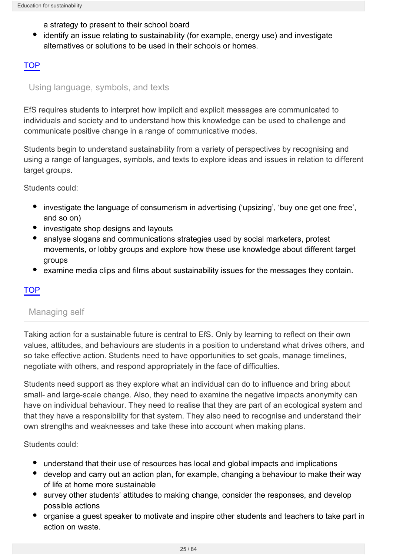a strategy to present to their school board

identify an issue relating to sustainability (for example, energy use) and investigate alternatives or solutions to be used in their schools or homes.

## TOP

## <span id="page-24-0"></span>Using language, symbols, and texts

EfS requires students to interpret how implicit and explicit messages are communicated to individuals and society and to understand how this knowledge can be used to challenge and communicate positive change in a range of communicative modes.

Students begin to understand sustainability from a variety of perspectives by recognising and using a range of languages, symbols, and texts to explore ideas and issues in relation to different target groups.

Students could:

- investigate the language of consumerism in advertising ('upsizing', 'buy one get one free', and so on)
- investigate shop designs and layouts
- analyse slogans and communications strategies used by social marketers, protest movements, or lobby groups and explore how these use knowledge about different target groups
- examine media clips and films about sustainability issues for the messages they contain.

## TOP

## <span id="page-24-1"></span>Managing self

Taking action for a sustainable future is central to EfS. Only by learning to reflect on their own values, attitudes, and behaviours are students in a position to understand what drives others, and so take effective action. Students need to have opportunities to set goals, manage timelines, negotiate with others, and respond appropriately in the face of difficulties.

Students need support as they explore what an individual can do to influence and bring about small- and large-scale change. Also, they need to examine the negative impacts anonymity can have on individual behaviour. They need to realise that they are part of an ecological system and that they have a responsibility for that system. They also need to recognise and understand their own strengths and weaknesses and take these into account when making plans.

#### Students could:

- understand that their use of resources has local and global impacts and implications
- develop and carry out an action plan, for example, changing a behaviour to make their way of life at home more sustainable
- survey other students' attitudes to making change, consider the responses, and develop possible actions
- organise a guest speaker to motivate and inspire other students and teachers to take part in action on waste.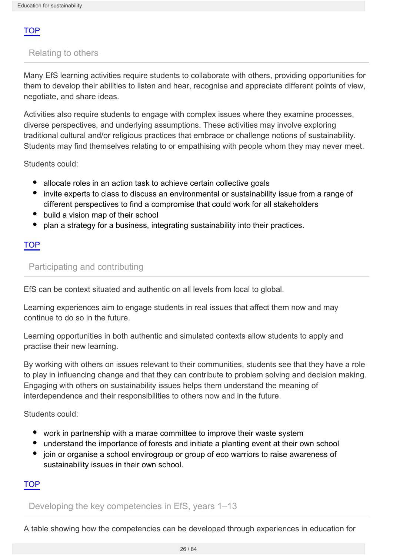## TOP

## <span id="page-25-0"></span>Relating to others

Many EfS learning activities require students to collaborate with others, providing opportunities for them to develop their abilities to listen and hear, recognise and appreciate different points of view, negotiate, and share ideas.

Activities also require students to engage with complex issues where they examine processes, diverse perspectives, and underlying assumptions. These activities may involve exploring traditional cultural and/or religious practices that embrace or challenge notions of sustainability. Students may find themselves relating to or empathising with people whom they may never meet.

Students could:

- allocate roles in an action task to achieve certain collective goals
- invite experts to class to discuss an environmental or sustainability issue from a range of different perspectives to find a compromise that could work for all stakeholders
- build a vision map of their school
- plan a strategy for a business, integrating sustainability into their practices.

#### **TOP**

#### <span id="page-25-1"></span>Participating and contributing

EfS can be context situated and authentic on all levels from local to global.

Learning experiences aim to engage students in real issues that affect them now and may continue to do so in the future.

Learning opportunities in both authentic and simulated contexts allow students to apply and practise their new learning.

By working with others on issues relevant to their communities, students see that they have a role to play in influencing change and that they can contribute to problem solving and decision making. Engaging with others on sustainability issues helps them understand the meaning of interdependence and their responsibilities to others now and in the future.

Students could:

- work in partnership with a marae committee to improve their waste system
- understand the importance of forests and initiate a planting event at their own school
- join or organise a school envirogroup or group of eco warriors to raise awareness of sustainability issues in their own school.

#### TOP

Developing the key competencies in EfS, years 1–13

A table showing how the competencies can be developed through experiences in education for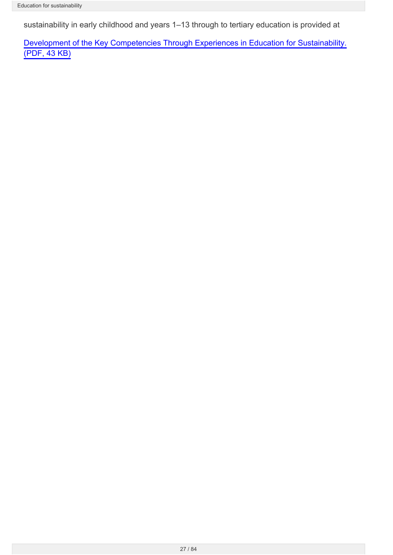sustainability in early childhood and years 1–13 through to tertiary education is provided at

[Development of the Key Competencies Through Experiences in Education for Sustainability.](http://seniorsecondary.tki.org.nz/content/download/794/5498/file/KC progression in EfS.pdf) [\(PDF, 43 KB\)](http://seniorsecondary.tki.org.nz/content/download/794/5498/file/KC progression in EfS.pdf)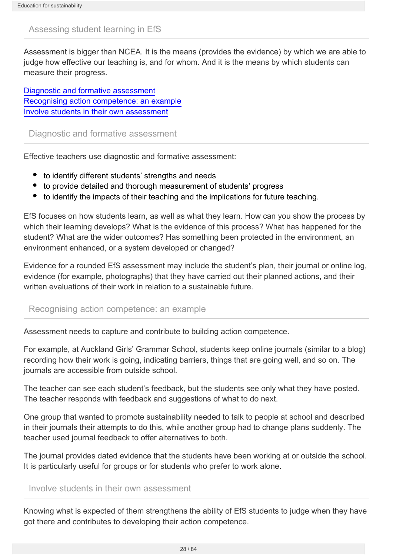## <span id="page-27-0"></span>Assessing student learning in EfS

Assessment is bigger than NCEA. It is the means (provides the evidence) by which we are able to judge how effective our teaching is, and for whom. And it is the means by which students can measure their progress.

[Diagnostic and formative assessment](#page-27-1) [Recognising action competence: an example](#page-27-2) [Involve students in their own assessment](#page-27-3)

<span id="page-27-1"></span>Diagnostic and formative assessment

Effective teachers use diagnostic and formative assessment:

- to identify different students' strengths and needs
- to provide detailed and thorough measurement of students' progress
- to identify the impacts of their teaching and the implications for future teaching.

EfS focuses on how students learn, as well as what they learn. How can you show the process by which their learning develops? What is the evidence of this process? What has happened for the student? What are the wider outcomes? Has something been protected in the environment, an environment enhanced, or a system developed or changed?

Evidence for a rounded EfS assessment may include the student's plan, their journal or online log, evidence (for example, photographs) that they have carried out their planned actions, and their written evaluations of their work in relation to a sustainable future.

#### <span id="page-27-2"></span>Recognising action competence: an example

Assessment needs to capture and contribute to building action competence.

For example, at Auckland Girls' Grammar School, students keep online journals (similar to a blog) recording how their work is going, indicating barriers, things that are going well, and so on. The journals are accessible from outside school.

The teacher can see each student's feedback, but the students see only what they have posted. The teacher responds with feedback and suggestions of what to do next.

One group that wanted to promote sustainability needed to talk to people at school and described in their journals their attempts to do this, while another group had to change plans suddenly. The teacher used journal feedback to offer alternatives to both.

The journal provides dated evidence that the students have been working at or outside the school. It is particularly useful for groups or for students who prefer to work alone.

## <span id="page-27-3"></span>Involve students in their own assessment

Knowing what is expected of them strengthens the ability of EfS students to judge when they have got there and contributes to developing their action competence.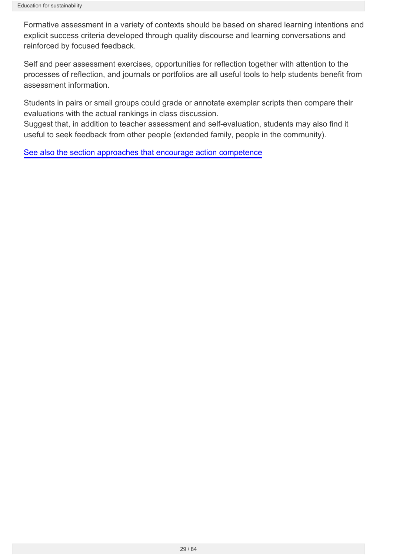Formative assessment in a variety of contexts should be based on shared learning intentions and explicit success criteria developed through quality discourse and learning conversations and reinforced by focused feedback.

Self and peer assessment exercises, opportunities for reflection together with attention to the processes of reflection, and journals or portfolios are all useful tools to help students benefit from assessment information.

Students in pairs or small groups could grade or annotate exemplar scripts then compare their evaluations with the actual rankings in class discussion.

Suggest that, in addition to teacher assessment and self-evaluation, students may also find it useful to seek feedback from other people (extended family, people in the community).

[See also the section approaches that encourage action competence](http://seniorsecondary.tki.org.nz/Social-sciences/Education-for-sustainability/Pedagogy/Approaches-that-encourage-action-competence)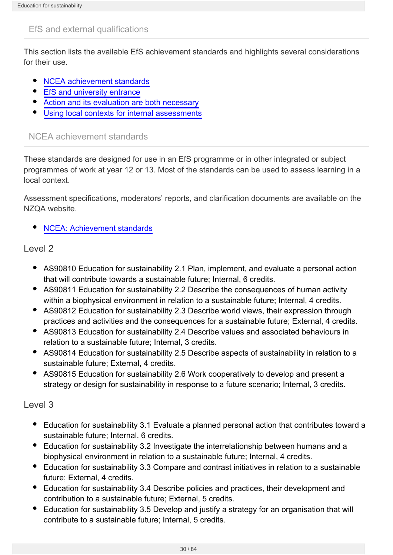## <span id="page-29-0"></span>EfS and external qualifications

This section lists the available EfS achievement standards and highlights several considerations for their use.

- $\bullet$ [NCEA achievement standards](#page-29-1)
- [EfS and university entrance](#page-30-0)
- [Action and its evaluation are both necessary](#page-30-1)
- [Using local contexts for internal assessments](#page-30-2)

## <span id="page-29-1"></span>NCEA achievement standards

These standards are designed for use in an EfS programme or in other integrated or subject programmes of work at year 12 or 13. Most of the standards can be used to assess learning in a local context.

Assessment specifications, moderators' reports, and clarification documents are available on the NZQA website.

[NCEA: Achievement standards](http://www.nzqa.govt.nz/qualifications-standards/qualifications/ncea)

## Level 2

- AS90810 Education for sustainability 2.1 Plan, implement, and evaluate a personal action that will contribute towards a sustainable future; Internal, 6 credits.
- AS90811 Education for sustainability 2.2 Describe the consequences of human activity within a biophysical environment in relation to a sustainable future; Internal, 4 credits.
- AS90812 Education for sustainability 2.3 Describe world views, their expression through practices and activities and the consequences for a sustainable future; External, 4 credits.
- AS90813 Education for sustainability 2.4 Describe values and associated behaviours in relation to a sustainable future; Internal, 3 credits.
- AS90814 Education for sustainability 2.5 Describe aspects of sustainability in relation to a sustainable future; External, 4 credits.
- AS90815 Education for sustainability 2.6 Work cooperatively to develop and present a strategy or design for sustainability in response to a future scenario; Internal, 3 credits.

## Level 3

- Education for sustainability 3.1 Evaluate a planned personal action that contributes toward a sustainable future; Internal, 6 credits.
- Education for sustainability 3.2 Investigate the interrelationship between humans and a biophysical environment in relation to a sustainable future; Internal, 4 credits.
- Education for sustainability 3.3 Compare and contrast initiatives in relation to a sustainable future; External, 4 credits.
- Education for sustainability 3.4 Describe policies and practices, their development and contribution to a sustainable future; External, 5 credits.
- Education for sustainability 3.5 Develop and justify a strategy for an organisation that will contribute to a sustainable future; Internal, 5 credits.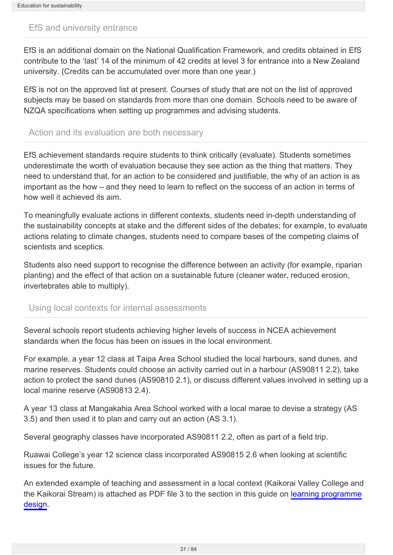#### <span id="page-30-0"></span>EfS and university entrance

EfS is an additional domain on the National Qualification Framework, and credits obtained in EfS contribute to the 'last' 14 of the minimum of 42 credits at level 3 for entrance into a New Zealand university. (Credits can be accumulated over more than one year.)

EfS is not on the approved list at present. Courses of study that are not on the list of approved subjects may be based on standards from more than one domain. Schools need to be aware of NZQA specifications when setting up programmes and advising students.

#### <span id="page-30-1"></span>Action and its evaluation are both necessary

EfS achievement standards require students to think critically (evaluate). Students sometimes underestimate the worth of evaluation because they see action as the thing that matters. They need to understand that, for an action to be considered and justifiable, the why of an action is as important as the how – and they need to learn to reflect on the success of an action in terms of how well it achieved its aim.

To meaningfully evaluate actions in different contexts, students need in-depth understanding of the sustainability concepts at stake and the different sides of the debates; for example, to evaluate actions relating to climate changes, students need to compare bases of the competing claims of scientists and sceptics.

Students also need support to recognise the difference between an activity (for example, riparian planting) and the effect of that action on a sustainable future (cleaner water, reduced erosion, invertebrates able to multiply).

#### <span id="page-30-2"></span>Using local contexts for internal assessments

Several schools report students achieving higher levels of success in NCEA achievement standards when the focus has been on issues in the local environment.

For example, a year 12 class at Taipa Area School studied the local harbours, sand dunes, and marine reserves. Students could choose an activity carried out in a harbour (AS90811 2.2), take action to protect the sand dunes (AS90810 2.1), or discuss different values involved in setting up a local marine reserve (AS90813 2.4).

A year 13 class at Mangakahia Area School worked with a local marae to devise a strategy (AS 3.5) and then used it to plan and carry out an action (AS 3.1).

Several geography classes have incorporated AS90811 2.2, often as part of a field trip.

Ruawai College's year 12 science class incorporated AS90815 2.6 when looking at scientific issues for the future.

An extended example of teaching and assessment in a local context (Kaikorai Valley College and the Kaikorai Stream) is attached as PDF file 3 to the section in this guide on [learning programme](http://seniorsecondary.tki.org.nz/Social-sciences/Education-for-sustainability/Learning-programme-design) [design](http://seniorsecondary.tki.org.nz/Social-sciences/Education-for-sustainability/Learning-programme-design).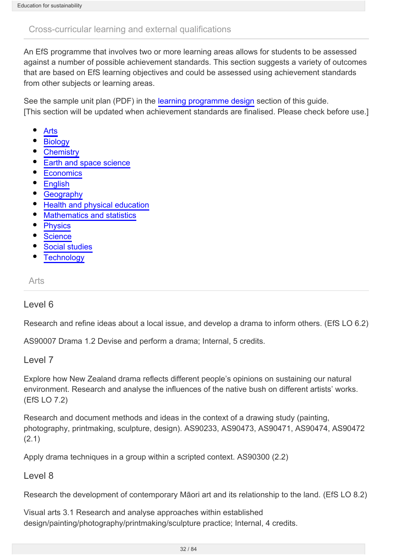## <span id="page-31-0"></span>Cross-curricular learning and external qualifications

An EfS programme that involves two or more learning areas allows for students to be assessed against a number of possible achievement standards. This section suggests a variety of outcomes that are based on EfS learning objectives and could be assessed using achievement standards from other subjects or learning areas.

See the sample unit plan (PDF) in the [learning programme design](http://seniorsecondary.tki.org.nz/Social-sciences/Education-for-sustainability/Learning-programme-design) section of this guide. [This section will be updated when achievement standards are finalised. Please check before use.]

- [Arts](#page-31-1)
- **[Biology](#page-32-0)**
- **[Chemistry](#page-32-1)**
- [Earth and space science](#page-33-0)
- **[Economics](#page-34-0)**
- **[English](#page-34-1)**
- **[Geography](#page-35-0)**
- [Health and physical education](#page-36-0)
- [Mathematics and statistics](#page-36-1)  $\bullet$
- $\bullet$ **[Physics](#page-37-0)**
- **[Science](#page-38-0)**
- [Social studies](#page-38-1)
- **[Technology](#page-39-0)**

<span id="page-31-1"></span>Arts

#### Level 6

Research and refine ideas about a local issue, and develop a drama to inform others. (EfS LO 6.2)

AS90007 Drama 1.2 Devise and perform a drama; Internal, 5 credits.

#### Level 7

Explore how New Zealand drama reflects different people's opinions on sustaining our natural environment. Research and analyse the influences of the native bush on different artists' works. (EfS LO 7.2)

Research and document methods and ideas in the context of a drawing study (painting, photography, printmaking, sculpture, design). AS90233, AS90473, AS90471, AS90474, AS90472 (2.1)

Apply drama techniques in a group within a scripted context. AS90300 (2.2)

Level 8

Research the development of contemporary Māori art and its relationship to the land. (EfS LO 8.2)

Visual arts 3.1 Research and analyse approaches within established design/painting/photography/printmaking/sculpture practice; Internal, 4 credits.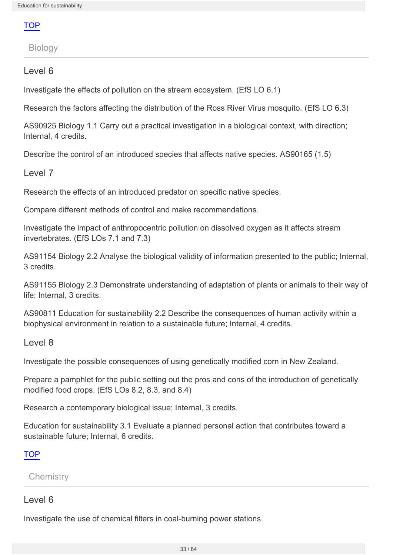**TOP** 

<span id="page-32-0"></span>Biology

## Level 6

Investigate the effects of pollution on the stream ecosystem. (EfS LO 6.1)

Research the factors affecting the distribution of the Ross River Virus mosquito. (EfS LO 6.3)

AS90925 Biology 1.1 Carry out a practical investigation in a biological context, with direction; Internal, 4 credits.

Describe the control of an introduced species that affects native species. AS90165 (1.5)

## Level 7

Research the effects of an introduced predator on specific native species.

Compare different methods of control and make recommendations.

Investigate the impact of anthropocentric pollution on dissolved oxygen as it affects stream invertebrates. (EfS LOs 7.1 and 7.3)

AS91154 Biology 2.2 Analyse the biological validity of information presented to the public; Internal, 3 credits.

AS91155 Biology 2.3 Demonstrate understanding of adaptation of plants or animals to their way of life; Internal, 3 credits.

AS90811 Education for sustainability 2.2 Describe the consequences of human activity within a biophysical environment in relation to a sustainable future; Internal, 4 credits.

Level 8

Investigate the possible consequences of using genetically modified corn in New Zealand.

Prepare a pamphlet for the public setting out the pros and cons of the introduction of genetically modified food crops. (EfS LOs 8.2, 8.3, and 8.4)

Research a contemporary biological issue; Internal, 3 credits.

Education for sustainability 3.1 Evaluate a planned personal action that contributes toward a sustainable future; Internal, 6 credits.

#### **TOP**

<span id="page-32-1"></span>**Chemistry** 

#### Level 6

Investigate the use of chemical filters in coal-burning power stations.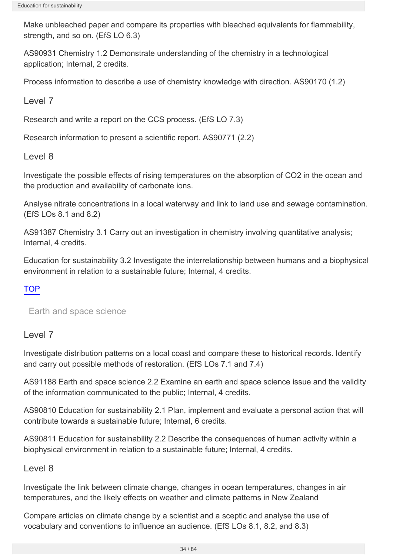Make unbleached paper and compare its properties with bleached equivalents for flammability, strength, and so on. (EfS LO 6.3)

AS90931 Chemistry 1.2 Demonstrate understanding of the chemistry in a technological application; Internal, 2 credits.

Process information to describe a use of chemistry knowledge with direction. AS90170 (1.2)

Level 7

Research and write a report on the CCS process. (EfS LO 7.3)

Research information to present a scientific report. AS90771 (2.2)

Level 8

Investigate the possible effects of rising temperatures on the absorption of CO2 in the ocean and the production and availability of carbonate ions.

Analyse nitrate concentrations in a local waterway and link to land use and sewage contamination. (EfS LOs 8.1 and 8.2)

AS91387 Chemistry 3.1 Carry out an investigation in chemistry involving quantitative analysis; Internal, 4 credits.

Education for sustainability 3.2 Investigate the interrelationship between humans and a biophysical environment in relation to a sustainable future; Internal, 4 credits.

## TOP

<span id="page-33-0"></span>Earth and space science

## Level 7

Investigate distribution patterns on a local coast and compare these to historical records. Identify and carry out possible methods of restoration. (EfS LOs 7.1 and 7.4)

AS91188 Earth and space science 2.2 Examine an earth and space science issue and the validity of the information communicated to the public; Internal, 4 credits.

AS90810 Education for sustainability 2.1 Plan, implement and evaluate a personal action that will contribute towards a sustainable future; Internal, 6 credits.

AS90811 Education for sustainability 2.2 Describe the consequences of human activity within a biophysical environment in relation to a sustainable future; Internal, 4 credits.

## Level 8

Investigate the link between climate change, changes in ocean temperatures, changes in air temperatures, and the likely effects on weather and climate patterns in New Zealand

Compare articles on climate change by a scientist and a sceptic and analyse the use of vocabulary and conventions to influence an audience. (EfS LOs 8.1, 8.2, and 8.3)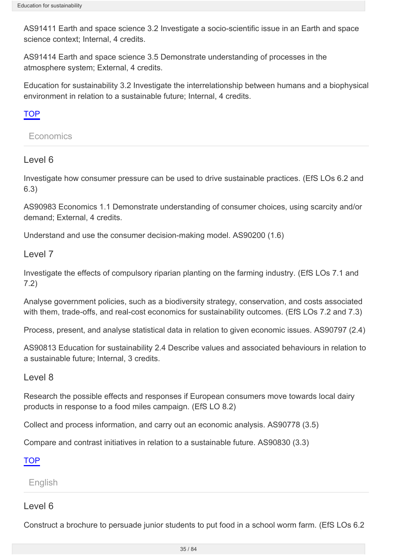AS91411 Earth and space science 3.2 Investigate a socio-scientific issue in an Earth and space science context; Internal, 4 credits.

AS91414 Earth and space science 3.5 Demonstrate understanding of processes in the atmosphere system; External, 4 credits.

Education for sustainability 3.2 Investigate the interrelationship between humans and a biophysical environment in relation to a sustainable future; Internal, 4 credits.

## **TOP**

#### <span id="page-34-0"></span>**Economics**

## Level 6

Investigate how consumer pressure can be used to drive sustainable practices. (EfS LOs 6.2 and 6.3)

AS90983 Economics 1.1 Demonstrate understanding of consumer choices, using scarcity and/or demand; External, 4 credits.

Understand and use the consumer decision-making model. AS90200 (1.6)

#### Level 7

Investigate the effects of compulsory riparian planting on the farming industry. (EfS LOs 7.1 and 7.2)

Analyse government policies, such as a biodiversity strategy, conservation, and costs associated with them, trade-offs, and real-cost economics for sustainability outcomes. (EfS LOs 7.2 and 7.3)

Process, present, and analyse statistical data in relation to given economic issues. AS90797 (2.4)

AS90813 Education for sustainability 2.4 Describe values and associated behaviours in relation to a sustainable future; Internal, 3 credits.

#### Level 8

Research the possible effects and responses if European consumers move towards local dairy products in response to a food miles campaign. (EfS LO 8.2)

Collect and process information, and carry out an economic analysis. AS90778 (3.5)

Compare and contrast initiatives in relation to a sustainable future. AS90830 (3.3)

TOP

<span id="page-34-1"></span>English

#### Level 6

Construct a brochure to persuade junior students to put food in a school worm farm. (EfS LOs 6.2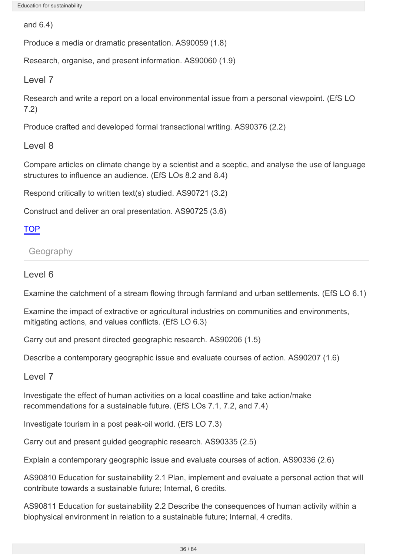and 6.4)

Produce a media or dramatic presentation. AS90059 (1.8)

Research, organise, and present information. AS90060 (1.9)

Level 7

Research and write a report on a local environmental issue from a personal viewpoint. (EfS LO 7.2)

Produce crafted and developed formal transactional writing. AS90376 (2.2)

Level 8

Compare articles on climate change by a scientist and a sceptic, and analyse the use of language structures to influence an audience. (EfS LOs 8.2 and 8.4)

Respond critically to written text(s) studied. AS90721 (3.2)

Construct and deliver an oral presentation. AS90725 (3.6)

## **TOP**

<span id="page-35-0"></span>**Geography** 

## Level 6

Examine the catchment of a stream flowing through farmland and urban settlements. (EfS LO 6.1)

Examine the impact of extractive or agricultural industries on communities and environments, mitigating actions, and values conflicts. (EfS LO 6.3)

Carry out and present directed geographic research. AS90206 (1.5)

Describe a contemporary geographic issue and evaluate courses of action. AS90207 (1.6)

## Level 7

Investigate the effect of human activities on a local coastline and take action/make recommendations for a sustainable future. (EfS LOs 7.1, 7.2, and 7.4)

Investigate tourism in a post peak-oil world. (EfS LO 7.3)

Carry out and present guided geographic research. AS90335 (2.5)

Explain a contemporary geographic issue and evaluate courses of action. AS90336 (2.6)

AS90810 Education for sustainability 2.1 Plan, implement and evaluate a personal action that will contribute towards a sustainable future; Internal, 6 credits.

AS90811 Education for sustainability 2.2 Describe the consequences of human activity within a biophysical environment in relation to a sustainable future; Internal, 4 credits.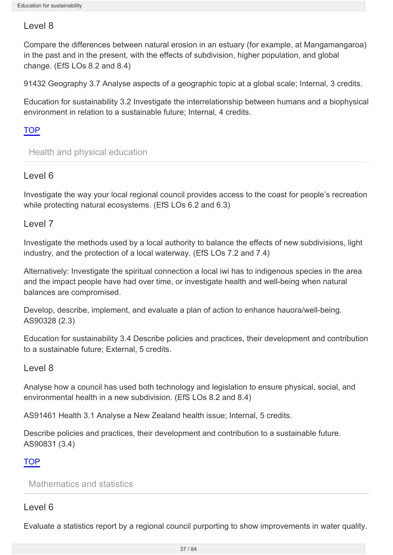# Level 8

Compare the differences between natural erosion in an estuary (for example, at Mangamangaroa) in the past and in the present, with the effects of subdivision, higher population, and global change. (EfS LOs 8.2 and 8.4)

91432 Geography 3.7 Analyse aspects of a geographic topic at a global scale; Internal, 3 credits.

Education for sustainability 3.2 Investigate the interrelationship between humans and a biophysical environment in relation to a sustainable future; Internal, 4 credits.

## **TOP**

Health and physical education

# Level 6

Investigate the way your local regional council provides access to the coast for people's recreation while protecting natural ecosystems. (EfS LOs 6.2 and 6.3)

# Level 7

Investigate the methods used by a local authority to balance the effects of new subdivisions, light industry, and the protection of a local waterway. (EfS LOs 7.2 and 7.4)

Alternatively: Investigate the spiritual connection a local iwi has to indigenous species in the area and the impact people have had over time, or investigate health and well-being when natural balances are compromised.

Develop, describe, implement, and evaluate a plan of action to enhance hauora/well-being. AS90328 (2.3)

Education for sustainability 3.4 Describe policies and practices, their development and contribution to a sustainable future; External, 5 credits.

# Level 8

Analyse how a council has used both technology and legislation to ensure physical, social, and environmental health in a new subdivision. (EfS LOs 8.2 and 8.4)

AS91461 Health 3.1 Analyse a New Zealand health issue; Internal, 5 credits.

Describe policies and practices, their development and contribution to a sustainable future. AS90831 (3.4)

# TOP

Mathematics and statistics

# Level 6

Evaluate a statistics report by a regional council purporting to show improvements in water quality.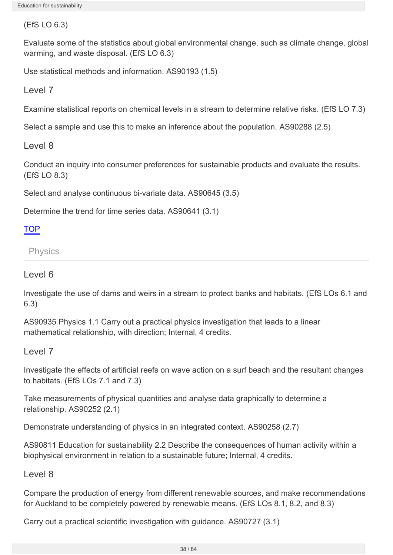(EfS LO 6.3)

Evaluate some of the statistics about global environmental change, such as climate change, global warming, and waste disposal. (EfS LO 6.3)

Use statistical methods and information. AS90193 (1.5)

Level 7

Examine statistical reports on chemical levels in a stream to determine relative risks. (EfS LO 7.3)

Select a sample and use this to make an inference about the population. AS90288 (2.5)

Level 8

Conduct an inquiry into consumer preferences for sustainable products and evaluate the results. (EfS LO 8.3)

Select and analyse continuous bi-variate data. AS90645 (3.5)

Determine the trend for time series data. AS90641 (3.1)

# **TOP**

Physics

# Level 6

Investigate the use of dams and weirs in a stream to protect banks and habitats. (EfS LOs 6.1 and 6.3)

AS90935 Physics 1.1 Carry out a practical physics investigation that leads to a linear mathematical relationship, with direction; Internal, 4 credits.

# Level 7

Investigate the effects of artificial reefs on wave action on a surf beach and the resultant changes to habitats. (EfS LOs 7.1 and 7.3)

Take measurements of physical quantities and analyse data graphically to determine a relationship. AS90252 (2.1)

Demonstrate understanding of physics in an integrated context. AS90258 (2.7)

AS90811 Education for sustainability 2.2 Describe the consequences of human activity within a biophysical environment in relation to a sustainable future; Internal, 4 credits.

# Level 8

Compare the production of energy from different renewable sources, and make recommendations for Auckland to be completely powered by renewable means. (EfS LOs 8.1, 8.2, and 8.3)

Carry out a practical scientific investigation with guidance. AS90727 (3.1)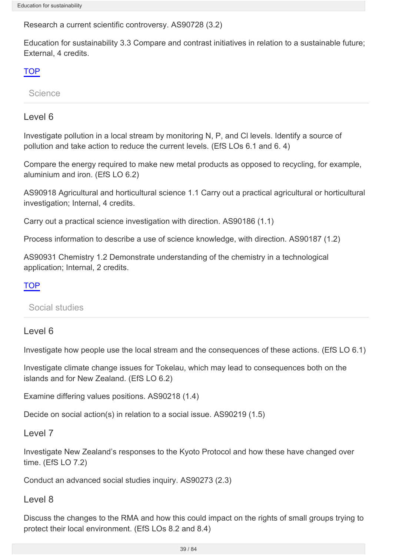Research a current scientific controversy. AS90728 (3.2)

Education for sustainability 3.3 Compare and contrast initiatives in relation to a sustainable future; External, 4 credits.

## **TOP**

Science

# Level 6

Investigate pollution in a local stream by monitoring N, P, and Cl levels. Identify a source of pollution and take action to reduce the current levels. (EfS LOs 6.1 and 6. 4)

Compare the energy required to make new metal products as opposed to recycling, for example, aluminium and iron. (EfS LO 6.2)

AS90918 Agricultural and horticultural science 1.1 Carry out a practical agricultural or horticultural investigation; Internal, 4 credits.

Carry out a practical science investigation with direction. AS90186 (1.1)

Process information to describe a use of science knowledge, with direction. AS90187 (1.2)

AS90931 Chemistry 1.2 Demonstrate understanding of the chemistry in a technological application; Internal, 2 credits.

# **TOP**

Social studies

# Level 6

Investigate how people use the local stream and the consequences of these actions. (EfS LO 6.1)

Investigate climate change issues for Tokelau, which may lead to consequences both on the islands and for New Zealand. (EfS LO 6.2)

Examine differing values positions. AS90218 (1.4)

Decide on social action(s) in relation to a social issue. AS90219 (1.5)

# Level 7

Investigate New Zealand's responses to the Kyoto Protocol and how these have changed over time. (EfS LO 7.2)

Conduct an advanced social studies inquiry. AS90273 (2.3)

Level 8

Discuss the changes to the RMA and how this could impact on the rights of small groups trying to protect their local environment. (EfS LOs 8.2 and 8.4)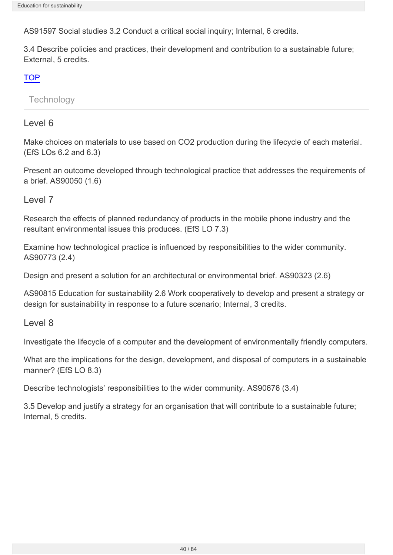AS91597 Social studies 3.2 Conduct a critical social inquiry; Internal, 6 credits.

3.4 Describe policies and practices, their development and contribution to a sustainable future; External, 5 credits.

# TOP

**Technology** 

# Level 6

Make choices on materials to use based on CO2 production during the lifecycle of each material. (EfS LOs 6.2 and 6.3)

Present an outcome developed through technological practice that addresses the requirements of a brief. AS90050 (1.6)

Level 7

Research the effects of planned redundancy of products in the mobile phone industry and the resultant environmental issues this produces. (EfS LO 7.3)

Examine how technological practice is influenced by responsibilities to the wider community. AS90773 (2.4)

Design and present a solution for an architectural or environmental brief. AS90323 (2.6)

AS90815 Education for sustainability 2.6 Work cooperatively to develop and present a strategy or design for sustainability in response to a future scenario; Internal, 3 credits.

Level 8

Investigate the lifecycle of a computer and the development of environmentally friendly computers.

What are the implications for the design, development, and disposal of computers in a sustainable manner? (EfS LO 8.3)

Describe technologists' responsibilities to the wider community. AS90676 (3.4)

3.5 Develop and justify a strategy for an organisation that will contribute to a sustainable future; Internal, 5 credits.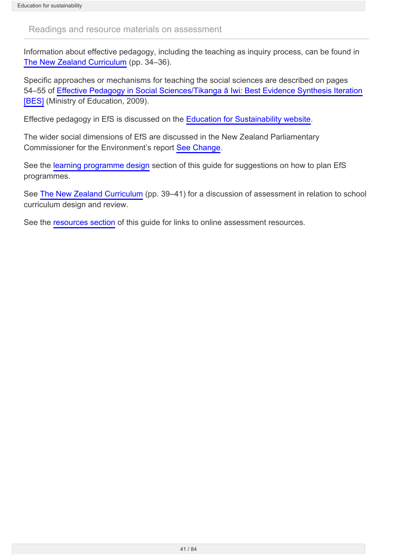#### Readings and resource materials on assessment

Information about effective pedagogy, including the teaching as inquiry process, can be found in [The New Zealand Curriculum](http://nzcurriculum.tki.org.nz/Curriculum-documents/The-New-Zealand-Curriculum/Effective-pedagogy) (pp. 34–36).

Specific approaches or mechanisms for teaching the social sciences are described on pages 54–55 of [Effective Pedagogy in Social Sciences/Tikanga ā Iwi: Best Evidence Synthesis Iteration](http://www.educationcounts.govt.nz/publications/series/2515/32879/35263) [\[BES\]](http://www.educationcounts.govt.nz/publications/series/2515/32879/35263) (Ministry of Education, 2009).

Effective pedagogy in EfS is discussed on the [Education for Sustainability website.](http://efs.tki.org.nz/EfS-in-the-curriculum/Effective-pedagogy)

The wider social dimensions of EfS are discussed in the New Zealand Parliamentary Commissioner for the Environment's report [See Change](http://www.pce.parliament.nz/publications/all-publications/see-change-learning-and-education-for-sustainability).

See the [learning programme design](http://seniorsecondary.tki.org.nz/Social-sciences/Education-for-sustainability/Learning-programme-design) section of this guide for suggestions on how to plan EfS programmes.

See [The New Zealand Curriculum](http://nzcurriculum.tki.org.nz/Curriculum-documents/The-New-Zealand-Curriculum/The-school-curriculum-design-and-review) (pp. 39–41) for a discussion of assessment in relation to school curriculum design and review.

See the [resources section](http://seniorsecondary.tki.org.nz/Social-sciences/Education-for-sustainability/Resources) of this guide for links to online assessment resources.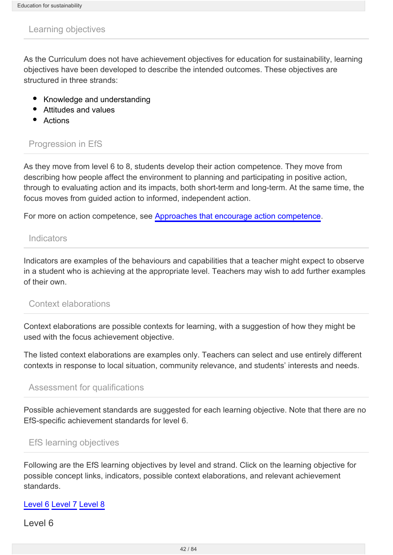#### Learning objectives

As the Curriculum does not have achievement objectives for education for sustainability, learning objectives have been developed to describe the intended outcomes. These objectives are structured in three strands:

- Knowledge and understanding
- Attitudes and values
- Actions

## Progression in EfS

As they move from level 6 to 8, students develop their action competence. They move from describing how people affect the environment to planning and participating in positive action, through to evaluating action and its impacts, both short-term and long-term. At the same time, the focus moves from guided action to informed, independent action.

For more on action competence, see [Approaches that encourage action competence](http://seniorsecondary.tki.org.nz/Social-sciences/Education-for-sustainability/Pedagogy/Approaches-that-encourage-action-competence).

#### **Indicators**

Indicators are examples of the behaviours and capabilities that a teacher might expect to observe in a student who is achieving at the appropriate level. Teachers may wish to add further examples of their own.

#### Context elaborations

Context elaborations are possible contexts for learning, with a suggestion of how they might be used with the focus achievement objective.

The listed context elaborations are examples only. Teachers can select and use entirely different contexts in response to local situation, community relevance, and students' interests and needs.

#### Assessment for qualifications

Possible achievement standards are suggested for each learning objective. Note that there are no EfS-specific achievement standards for level 6.

#### EfS learning objectives

Following are the EfS learning objectives by level and strand. Click on the learning objective for possible concept links, indicators, possible context elaborations, and relevant achievement standards.

#### [Level 6](#page-42-0) [Level 7](#page-42-1) [Level 8](#page-42-2)

Level 6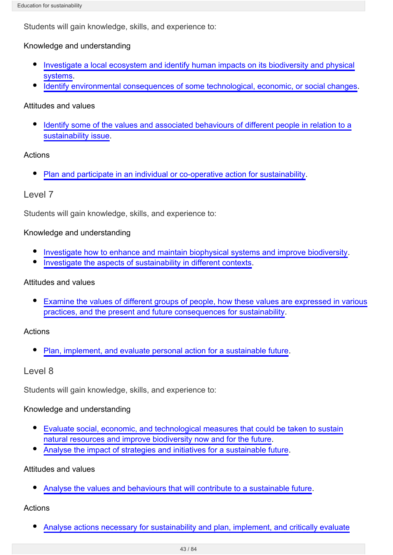<span id="page-42-0"></span>Students will gain knowledge, skills, and experience to:

### Knowledge and understanding

- [Investigate a local ecosystem and identify human impacts on its biodiversity and physical](http://seniorsecondary.tki.org.nz/Social-sciences/Education-for-sustainability/Learning-objectives/LO-6.1) [systems](http://seniorsecondary.tki.org.nz/Social-sciences/Education-for-sustainability/Learning-objectives/LO-6.1).
- [Identify environmental consequences of some technological, economic, or social changes.](http://seniorsecondary.tki.org.nz/Social-sciences/Education-for-sustainability/Learning-objectives/LO-6.2)

### Attitudes and values

[Identify some of the values and associated behaviours of different people in relation to a](http://seniorsecondary.tki.org.nz/Social-sciences/Education-for-sustainability/Learning-objectives/LO-6.3) [sustainability issue](http://seniorsecondary.tki.org.nz/Social-sciences/Education-for-sustainability/Learning-objectives/LO-6.3).

## Actions

[Plan and participate in an individual or co-operative action for sustainability.](http://seniorsecondary.tki.org.nz/Social-sciences/Education-for-sustainability/Learning-objectives/LO-6.4)

# Level 7

<span id="page-42-1"></span>Students will gain knowledge, skills, and experience to:

### Knowledge and understanding

- [Investigate how to enhance and maintain biophysical systems and improve biodiversity.](http://seniorsecondary.tki.org.nz/Social-sciences/Education-for-sustainability/Learning-objectives/LO-7.1)
- $\bullet$ [Investigate the aspects of sustainability in different contexts](http://seniorsecondary.tki.org.nz/Social-sciences/Education-for-sustainability/Learning-objectives/LO-7.2).

### Attitudes and values

[Examine the values of different groups of people, how these values are expressed in various](http://seniorsecondary.tki.org.nz/Social-sciences/Education-for-sustainability/Learning-objectives/LO-7.3) [practices, and the present and future consequences for sustainability](http://seniorsecondary.tki.org.nz/Social-sciences/Education-for-sustainability/Learning-objectives/LO-7.3).

# Actions

 $\bullet$ [Plan, implement, and evaluate personal action for a sustainable future](http://seniorsecondary.tki.org.nz/Social-sciences/Education-for-sustainability/Learning-objectives/LO-7.4).

# Level 8

<span id="page-42-2"></span>Students will gain knowledge, skills, and experience to:

### Knowledge and understanding

- [Evaluate social, economic, and technological measures that could be taken to sustain](http://seniorsecondary.tki.org.nz/Social-sciences/Education-for-sustainability/Learning-objectives/LO-8.1) [natural resources and improve biodiversity now and for the future](http://seniorsecondary.tki.org.nz/Social-sciences/Education-for-sustainability/Learning-objectives/LO-8.1).
- [Analyse the impact of strategies and initiatives for a sustainable future](http://seniorsecondary.tki.org.nz/Social-sciences/Education-for-sustainability/Learning-objectives/LO-8.2).

### Attitudes and values

[Analyse the values and behaviours that will contribute to a sustainable future.](http://seniorsecondary.tki.org.nz/Social-sciences/Education-for-sustainability/Learning-objectives/LO-8.3)

# Actions

[Analyse actions necessary for sustainability and plan, implement, and critically evaluate](http://seniorsecondary.tki.org.nz/Social-sciences/Education-for-sustainability/Learning-objectives/LO-8.4)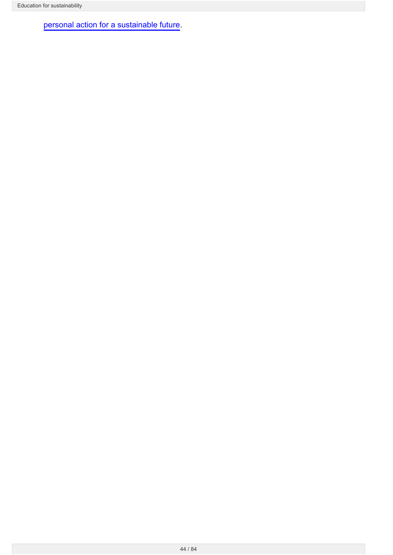[personal action for a sustainable future.](http://seniorsecondary.tki.org.nz/Social-sciences/Education-for-sustainability/Learning-objectives/LO-8.4)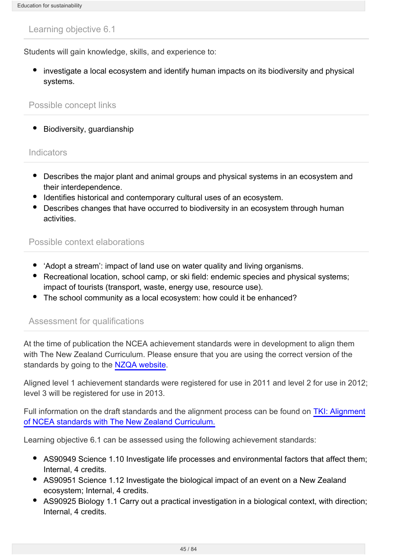Students will gain knowledge, skills, and experience to:

• investigate a local ecosystem and identify human impacts on its biodiversity and physical systems.

### Possible concept links

• Biodiversity, guardianship

#### **Indicators**

- Describes the major plant and animal groups and physical systems in an ecosystem and their interdependence.
- Identifies historical and contemporary cultural uses of an ecosystem.
- Describes changes that have occurred to biodiversity in an ecosystem through human activities.

## Possible context elaborations

- 'Adopt a stream': impact of land use on water quality and living organisms.
- Recreational location, school camp, or ski field: endemic species and physical systems; impact of tourists (transport, waste, energy use, resource use).
- The school community as a local ecosystem: how could it be enhanced?

### Assessment for qualifications

At the time of publication the NCEA achievement standards were in development to align them with The New Zealand Curriculum. Please ensure that you are using the correct version of the standards by going to the [NZQA website](http://www.nzqa.govt.nz/).

Aligned level 1 achievement standards were registered for use in 2011 and level 2 for use in 2012; level 3 will be registered for use in 2013.

Full information on the draft standards and the alignment process can be found on [TKI: Alignment](http://www.tki.org.nz/e/community/ncea/alignment-standards.php) [of NCEA standards with The New Zealand Curriculum.](http://www.tki.org.nz/e/community/ncea/alignment-standards.php)

Learning objective 6.1 can be assessed using the following achievement standards:

- AS90949 Science 1.10 Investigate life processes and environmental factors that affect them; Internal, 4 credits.
- AS90951 Science 1.12 Investigate the biological impact of an event on a New Zealand ecosystem; Internal, 4 credits.
- AS90925 Biology 1.1 Carry out a practical investigation in a biological context, with direction; Internal, 4 credits.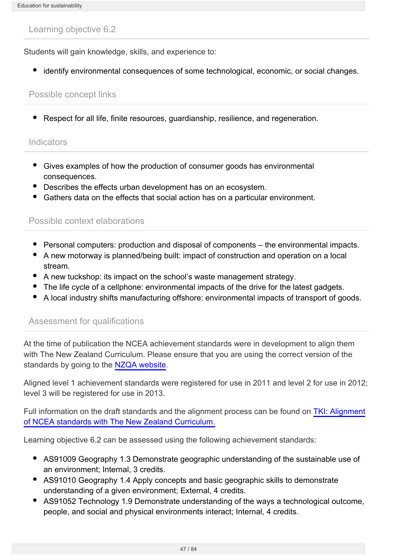Students will gain knowledge, skills, and experience to:

identify environmental consequences of some technological, economic, or social changes.

### Possible concept links

Respect for all life, finite resources, guardianship, resilience, and regeneration.

### **Indicators**

- Gives examples of how the production of consumer goods has environmental consequences.
- Describes the effects urban development has on an ecosystem.
- Gathers data on the effects that social action has on a particular environment.

### Possible context elaborations

- Personal computers: production and disposal of components the environmental impacts.
- A new motorway is planned/being built: impact of construction and operation on a local stream.
- A new tuckshop: its impact on the school's waste management strategy.
- The life cycle of a cellphone: environmental impacts of the drive for the latest gadgets.
- A local industry shifts manufacturing offshore: environmental impacts of transport of goods.

### Assessment for qualifications

At the time of publication the NCEA achievement standards were in development to align them with The New Zealand Curriculum. Please ensure that you are using the correct version of the standards by going to the [NZQA website](http://www.nzqa.govt.nz/).

Aligned level 1 achievement standards were registered for use in 2011 and level 2 for use in 2012; level 3 will be registered for use in 2013.

Full information on the draft standards and the alignment process can be found on [TKI: Alignment](http://www.tki.org.nz/e/community/ncea/alignment-standards.php) [of NCEA standards with The New Zealand Curriculum.](http://www.tki.org.nz/e/community/ncea/alignment-standards.php)

Learning objective 6.2 can be assessed using the following achievement standards:

- AS91009 Geography 1.3 Demonstrate geographic understanding of the sustainable use of an environment; Internal, 3 credits.
- AS91010 Geography 1.4 Apply concepts and basic geographic skills to demonstrate understanding of a given environment; External, 4 credits.
- AS91052 Technology 1.9 Demonstrate understanding of the ways a technological outcome, people, and social and physical environments interact; Internal, 4 credits.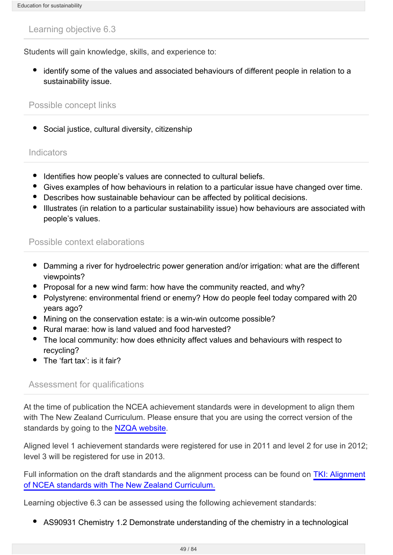Students will gain knowledge, skills, and experience to:

identify some of the values and associated behaviours of different people in relation to a sustainability issue.

#### Possible concept links

Social justice, cultural diversity, citizenship

#### **Indicators**

- Identifies how people's values are connected to cultural beliefs.
- Gives examples of how behaviours in relation to a particular issue have changed over time.
- Describes how sustainable behaviour can be affected by political decisions.
- Illustrates (in relation to a particular sustainability issue) how behaviours are associated with people's values.

### Possible context elaborations

- Damming a river for hydroelectric power generation and/or irrigation: what are the different viewpoints?
- Proposal for a new wind farm: how have the community reacted, and why?
- Polystyrene: environmental friend or enemy? How do people feel today compared with 20 years ago?
- Mining on the conservation estate: is a win-win outcome possible?
- Rural marae: how is land valued and food harvested?
- The local community: how does ethnicity affect values and behaviours with respect to recycling?
- The 'fart tax': is it fair?

#### Assessment for qualifications

At the time of publication the NCEA achievement standards were in development to align them with The New Zealand Curriculum. Please ensure that you are using the correct version of the standards by going to the [NZQA website](http://www.nzqa.govt.nz/).

Aligned level 1 achievement standards were registered for use in 2011 and level 2 for use in 2012; level 3 will be registered for use in 2013.

Full information on the draft standards and the alignment process can be found on [TKI: Alignment](http://www.tki.org.nz/e/community/ncea/alignment-standards.php) [of NCEA standards with The New Zealand Curriculum.](http://www.tki.org.nz/e/community/ncea/alignment-standards.php)

Learning objective 6.3 can be assessed using the following achievement standards:

AS90931 Chemistry 1.2 Demonstrate understanding of the chemistry in a technological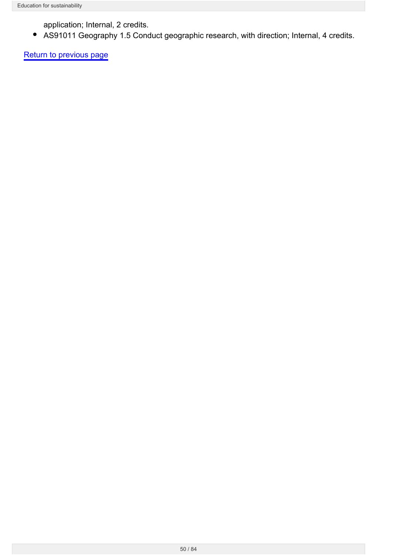application; Internal, 2 credits.

AS91011 Geography 1.5 Conduct geographic research, with direction; Internal, 4 credits.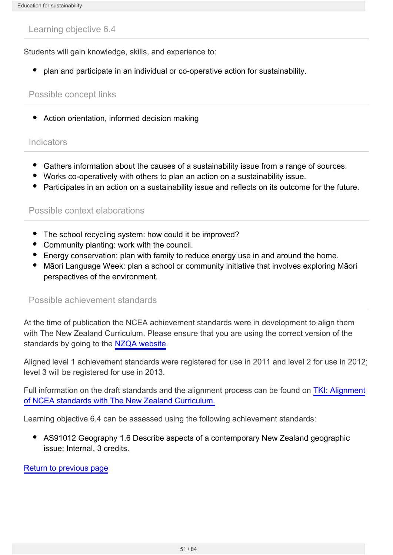Students will gain knowledge, skills, and experience to:

plan and participate in an individual or co-operative action for sustainability.

### Possible concept links

Action orientation, informed decision making

#### **Indicators**

- Gathers information about the causes of a sustainability issue from a range of sources.
- Works co-operatively with others to plan an action on a sustainability issue.
- Participates in an action on a sustainability issue and reflects on its outcome for the future.

### Possible context elaborations

- The school recycling system: how could it be improved?
- Community planting: work with the council.
- Energy conservation: plan with family to reduce energy use in and around the home.
- Māori Language Week: plan a school or community initiative that involves exploring Māori perspectives of the environment.

### Possible achievement standards

At the time of publication the NCEA achievement standards were in development to align them with The New Zealand Curriculum. Please ensure that you are using the correct version of the standards by going to the [NZQA website](http://www.nzqa.govt.nz/).

Aligned level 1 achievement standards were registered for use in 2011 and level 2 for use in 2012; level 3 will be registered for use in 2013.

Full information on the draft standards and the alignment process can be found on [TKI: Alignment](http://www.tki.org.nz/e/community/ncea/alignment-standards.php) [of NCEA standards with The New Zealand Curriculum.](http://www.tki.org.nz/e/community/ncea/alignment-standards.php)

Learning objective 6.4 can be assessed using the following achievement standards:

AS91012 Geography 1.6 Describe aspects of a contemporary New Zealand geographic issue; Internal, 3 credits.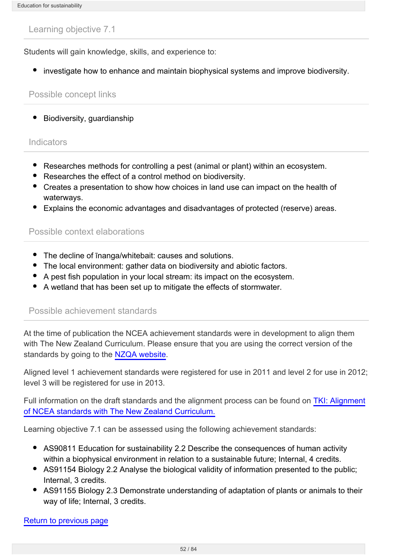Students will gain knowledge, skills, and experience to:

• investigate how to enhance and maintain biophysical systems and improve biodiversity.

#### Possible concept links

• Biodiversity, guardianship

#### Indicators

- Researches methods for controlling a pest (animal or plant) within an ecosystem.
- Researches the effect of a control method on biodiversity.
- Creates a presentation to show how choices in land use can impact on the health of waterways.
- Explains the economic advantages and disadvantages of protected (reserve) areas.

#### Possible context elaborations

- The decline of **Thanga/whitebait:** causes and solutions.
- The local environment: gather data on biodiversity and abiotic factors.
- A pest fish population in your local stream: its impact on the ecosystem.
- A wetland that has been set up to mitigate the effects of stormwater.

#### Possible achievement standards

At the time of publication the NCEA achievement standards were in development to align them with The New Zealand Curriculum. Please ensure that you are using the correct version of the standards by going to the [NZQA website](http://www.nzqa.govt.nz/).

Aligned level 1 achievement standards were registered for use in 2011 and level 2 for use in 2012; level 3 will be registered for use in 2013.

Full information on the draft standards and the alignment process can be found on [TKI: Alignment](http://www.tki.org.nz/e/community/ncea/alignment-standards.php) [of NCEA standards with The New Zealand Curriculum.](http://www.tki.org.nz/e/community/ncea/alignment-standards.php)

Learning objective 7.1 can be assessed using the following achievement standards:

- AS90811 Education for sustainability 2.2 Describe the consequences of human activity within a biophysical environment in relation to a sustainable future; Internal, 4 credits.
- AS91154 Biology 2.2 Analyse the biological validity of information presented to the public; Internal, 3 credits.
- AS91155 Biology 2.3 Demonstrate understanding of adaptation of plants or animals to their way of life; Internal, 3 credits.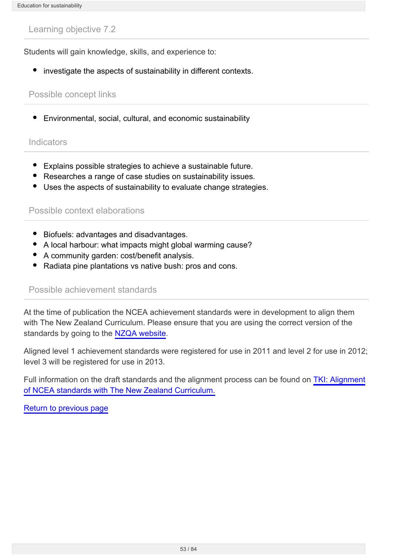Students will gain knowledge, skills, and experience to:

• investigate the aspects of sustainability in different contexts.

### Possible concept links

Environmental, social, cultural, and economic sustainability

#### **Indicators**

- Explains possible strategies to achieve a sustainable future.
- Researches a range of case studies on sustainability issues.
- Uses the aspects of sustainability to evaluate change strategies.

### Possible context elaborations

- Biofuels: advantages and disadvantages.
- A local harbour: what impacts might global warming cause?
- A community garden: cost/benefit analysis.
- Radiata pine plantations vs native bush: pros and cons.

#### Possible achievement standards

At the time of publication the NCEA achievement standards were in development to align them with The New Zealand Curriculum. Please ensure that you are using the correct version of the standards by going to the [NZQA website](http://www.nzqa.govt.nz/).

Aligned level 1 achievement standards were registered for use in 2011 and level 2 for use in 2012; level 3 will be registered for use in 2013.

Full information on the draft standards and the alignment process can be found on [TKI: Alignment](http://www.tki.org.nz/e/community/ncea/alignment-standards.php) [of NCEA standards with The New Zealand Curriculum.](http://www.tki.org.nz/e/community/ncea/alignment-standards.php)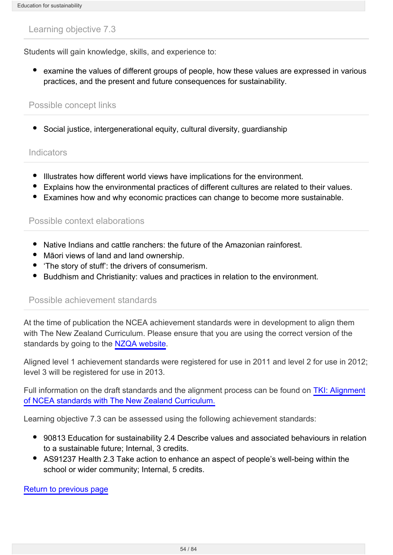Students will gain knowledge, skills, and experience to:

examine the values of different groups of people, how these values are expressed in various practices, and the present and future consequences for sustainability.

#### Possible concept links

Social justice, intergenerational equity, cultural diversity, guardianship

#### **Indicators**

- Illustrates how different world views have implications for the environment.
- Explains how the environmental practices of different cultures are related to their values.
- Examines how and why economic practices can change to become more sustainable.

#### Possible context elaborations

- Native Indians and cattle ranchers: the future of the Amazonian rainforest.
- Māori views of land and land ownership.
- 'The story of stuff': the drivers of consumerism.
- Buddhism and Christianity: values and practices in relation to the environment.

### Possible achievement standards

At the time of publication the NCEA achievement standards were in development to align them with The New Zealand Curriculum. Please ensure that you are using the correct version of the standards by going to the [NZQA website](http://www.nzqa.govt.nz/).

Aligned level 1 achievement standards were registered for use in 2011 and level 2 for use in 2012; level 3 will be registered for use in 2013.

Full information on the draft standards and the alignment process can be found on [TKI: Alignment](http://www.tki.org.nz/e/community/ncea/alignment-standards.php) [of NCEA standards with The New Zealand Curriculum.](http://www.tki.org.nz/e/community/ncea/alignment-standards.php)

Learning objective 7.3 can be assessed using the following achievement standards:

- 90813 Education for sustainability 2.4 Describe values and associated behaviours in relation to a sustainable future; Internal, 3 credits.
- AS91237 Health 2.3 Take action to enhance an aspect of people's well-being within the school or wider community; Internal, 5 credits.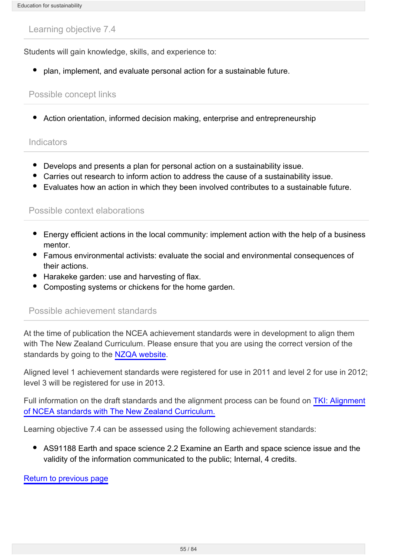Students will gain knowledge, skills, and experience to:

plan, implement, and evaluate personal action for a sustainable future.

### Possible concept links

Action orientation, informed decision making, enterprise and entrepreneurship

#### **Indicators**

- Develops and presents a plan for personal action on a sustainability issue.
- Carries out research to inform action to address the cause of a sustainability issue.
- Evaluates how an action in which they been involved contributes to a sustainable future.

#### Possible context elaborations

- Energy efficient actions in the local community: implement action with the help of a business mentor.
- Famous environmental activists: evaluate the social and environmental consequences of their actions.
- Harakeke garden: use and harvesting of flax.
- Composting systems or chickens for the home garden.

#### Possible achievement standards

At the time of publication the NCEA achievement standards were in development to align them with The New Zealand Curriculum. Please ensure that you are using the correct version of the standards by going to the [NZQA website](http://www.nzqa.govt.nz/).

Aligned level 1 achievement standards were registered for use in 2011 and level 2 for use in 2012; level 3 will be registered for use in 2013.

Full information on the draft standards and the alignment process can be found on [TKI: Alignment](http://www.tki.org.nz/e/community/ncea/alignment-standards.php) [of NCEA standards with The New Zealand Curriculum.](http://www.tki.org.nz/e/community/ncea/alignment-standards.php)

Learning objective 7.4 can be assessed using the following achievement standards:

AS91188 Earth and space science 2.2 Examine an Earth and space science issue and the validity of the information communicated to the public; Internal, 4 credits.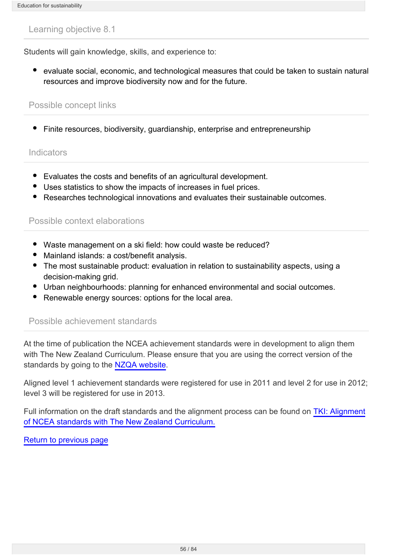Students will gain knowledge, skills, and experience to:

evaluate social, economic, and technological measures that could be taken to sustain natural resources and improve biodiversity now and for the future.

#### Possible concept links

Finite resources, biodiversity, guardianship, enterprise and entrepreneurship

#### **Indicators**

- Evaluates the costs and benefits of an agricultural development.
- Uses statistics to show the impacts of increases in fuel prices.
- Researches technological innovations and evaluates their sustainable outcomes.

#### Possible context elaborations

- Waste management on a ski field: how could waste be reduced?
- Mainland islands: a cost/benefit analysis.
- The most sustainable product: evaluation in relation to sustainability aspects, using a decision-making grid.
- Urban neighbourhoods: planning for enhanced environmental and social outcomes.
- Renewable energy sources: options for the local area.

#### Possible achievement standards

At the time of publication the NCEA achievement standards were in development to align them with The New Zealand Curriculum. Please ensure that you are using the correct version of the standards by going to the [NZQA website](http://www.nzqa.govt.nz/).

Aligned level 1 achievement standards were registered for use in 2011 and level 2 for use in 2012; level 3 will be registered for use in 2013.

Full information on the draft standards and the alignment process can be found on [TKI: Alignment](http://www.tki.org.nz/e/community/ncea/alignment-standards.php) [of NCEA standards with The New Zealand Curriculum.](http://www.tki.org.nz/e/community/ncea/alignment-standards.php)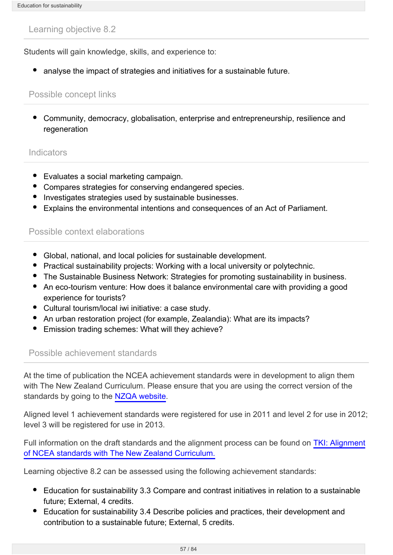Students will gain knowledge, skills, and experience to:

• analyse the impact of strategies and initiatives for a sustainable future.

### Possible concept links

Community, democracy, globalisation, enterprise and entrepreneurship, resilience and regeneration

#### **Indicators**

- Evaluates a social marketing campaign.
- Compares strategies for conserving endangered species.
- Investigates strategies used by sustainable businesses.
- Explains the environmental intentions and consequences of an Act of Parliament.

## Possible context elaborations

- Global, national, and local policies for sustainable development.
- Practical sustainability projects: Working with a local university or polytechnic.
- The Sustainable Business Network: Strategies for promoting sustainability in business.
- An eco-tourism venture: How does it balance environmental care with providing a good experience for tourists?
- Cultural tourism/local iwi initiative: a case study.
- An urban restoration project (for example, Zealandia): What are its impacts?
- Emission trading schemes: What will they achieve?

### Possible achievement standards

At the time of publication the NCEA achievement standards were in development to align them with The New Zealand Curriculum. Please ensure that you are using the correct version of the standards by going to the [NZQA website](http://www.nzqa.govt.nz/).

Aligned level 1 achievement standards were registered for use in 2011 and level 2 for use in 2012; level 3 will be registered for use in 2013.

Full information on the draft standards and the alignment process can be found on [TKI: Alignment](http://www.tki.org.nz/e/community/ncea/alignment-standards.php) [of NCEA standards with The New Zealand Curriculum.](http://www.tki.org.nz/e/community/ncea/alignment-standards.php)

Learning objective 8.2 can be assessed using the following achievement standards:

- Education for sustainability 3.3 Compare and contrast initiatives in relation to a sustainable future; External, 4 credits.
- Education for sustainability 3.4 Describe policies and practices, their development and contribution to a sustainable future; External, 5 credits.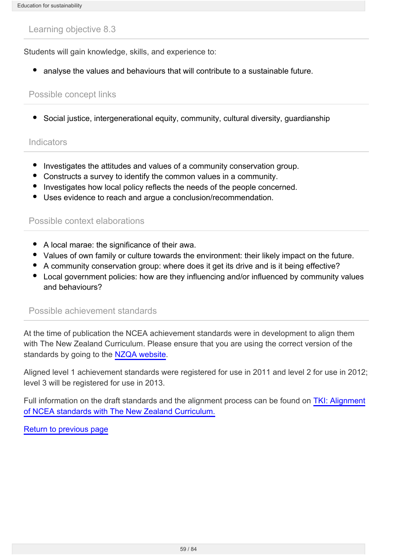Students will gain knowledge, skills, and experience to:

analyse the values and behaviours that will contribute to a sustainable future.

### Possible concept links

Social justice, intergenerational equity, community, cultural diversity, guardianship

### **Indicators**

- Investigates the attitudes and values of a community conservation group.
- Constructs a survey to identify the common values in a community.
- Investigates how local policy reflects the needs of the people concerned.
- Uses evidence to reach and argue a conclusion/recommendation.

### Possible context elaborations

- A local marae: the significance of their awa.
- Values of own family or culture towards the environment: their likely impact on the future.
- A community conservation group: where does it get its drive and is it being effective?
- Local government policies: how are they influencing and/or influenced by community values and behaviours?

#### Possible achievement standards

At the time of publication the NCEA achievement standards were in development to align them with The New Zealand Curriculum. Please ensure that you are using the correct version of the standards by going to the [NZQA website](http://www.nzqa.govt.nz/).

Aligned level 1 achievement standards were registered for use in 2011 and level 2 for use in 2012; level 3 will be registered for use in 2013.

Full information on the draft standards and the alignment process can be found on [TKI: Alignment](http://www.tki.org.nz/e/community/ncea/alignment-standards.php) [of NCEA standards with The New Zealand Curriculum.](http://www.tki.org.nz/e/community/ncea/alignment-standards.php)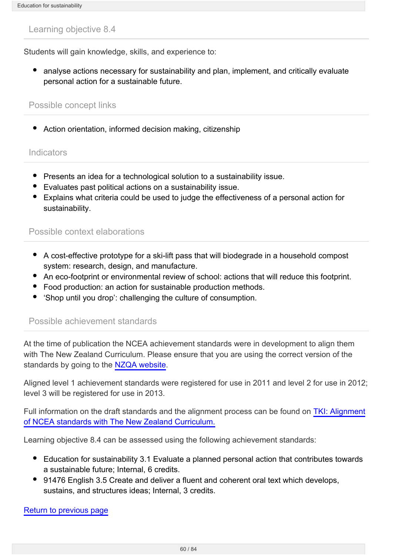Students will gain knowledge, skills, and experience to:

analyse actions necessary for sustainability and plan, implement, and critically evaluate personal action for a sustainable future.

#### Possible concept links

Action orientation, informed decision making, citizenship

#### **Indicators**

- Presents an idea for a technological solution to a sustainability issue.
- Evaluates past political actions on a sustainability issue.
- Explains what criteria could be used to judge the effectiveness of a personal action for sustainability.

#### Possible context elaborations

- A cost-effective prototype for a ski-lift pass that will biodegrade in a household compost system: research, design, and manufacture.
- An eco-footprint or environmental review of school: actions that will reduce this footprint.
- Food production: an action for sustainable production methods.
- 'Shop until you drop': challenging the culture of consumption.

#### Possible achievement standards

At the time of publication the NCEA achievement standards were in development to align them with The New Zealand Curriculum. Please ensure that you are using the correct version of the standards by going to the [NZQA website](http://www.nzqa.govt.nz/).

Aligned level 1 achievement standards were registered for use in 2011 and level 2 for use in 2012; level 3 will be registered for use in 2013.

Full information on the draft standards and the alignment process can be found on [TKI: Alignment](http://www.tki.org.nz/e/community/ncea/alignment-standards.php) [of NCEA standards with The New Zealand Curriculum.](http://www.tki.org.nz/e/community/ncea/alignment-standards.php)

Learning objective 8.4 can be assessed using the following achievement standards:

- Education for sustainability 3.1 Evaluate a planned personal action that contributes towards a sustainable future; Internal, 6 credits.
- 91476 English 3.5 Create and deliver a fluent and coherent oral text which develops, sustains, and structures ideas; Internal, 3 credits.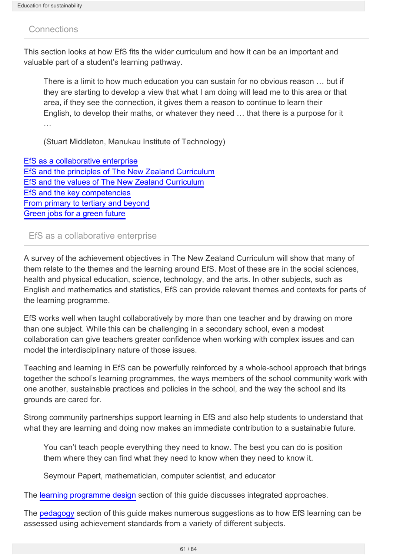### **Connections**

This section looks at how EfS fits the wider curriculum and how it can be an important and valuable part of a student's learning pathway.

There is a limit to how much education you can sustain for no obvious reason … but if they are starting to develop a view that what I am doing will lead me to this area or that area, if they see the connection, it gives them a reason to continue to learn their English, to develop their maths, or whatever they need … that there is a purpose for it …

(Stuart Middleton, Manukau Institute of Technology)

[EfS as a collaborative enterprise](#page-60-0) [EfS and the principles of The New Zealand Curriculum](http://seniorsecondary.tki.org.nz/Social-sciences/Education-for-sustainability/Connections/EfS-and-principles-of-NZ-Curriculum) [EfS and the values of The New Zealand Curriculum](http://seniorsecondary.tki.org.nz/Social-sciences/Education-for-sustainability/Connections/EfS-and-values-of-NZ-Curriculum) [EfS and the key competencies](http://seniorsecondary.tki.org.nz/Social-sciences/Education-for-sustainability/Pedagogy/Developing-key-competencies-in-EfS) [From primary to tertiary and beyond](http://seniorsecondary.tki.org.nz/Social-sciences/Education-for-sustainability/Connections/From-primary-to-tertiary-and-beyond) [Green jobs for a green future](http://seniorsecondary.tki.org.nz/Social-sciences/Education-for-sustainability/Connections/Green-jobs-for-a-green-future)

#### <span id="page-60-0"></span>EfS as a collaborative enterprise

A survey of the achievement objectives in The New Zealand Curriculum will show that many of them relate to the themes and the learning around EfS. Most of these are in the social sciences, health and physical education, science, technology, and the arts. In other subjects, such as English and mathematics and statistics, EfS can provide relevant themes and contexts for parts of the learning programme.

EfS works well when taught collaboratively by more than one teacher and by drawing on more than one subject. While this can be challenging in a secondary school, even a modest collaboration can give teachers greater confidence when working with complex issues and can model the interdisciplinary nature of those issues.

Teaching and learning in EfS can be powerfully reinforced by a whole-school approach that brings together the school's learning programmes, the ways members of the school community work with one another, sustainable practices and policies in the school, and the way the school and its grounds are cared for.

Strong community partnerships support learning in EfS and also help students to understand that what they are learning and doing now makes an immediate contribution to a sustainable future.

You can't teach people everything they need to know. The best you can do is position them where they can find what they need to know when they need to know it.

Seymour Papert, mathematician, computer scientist, and educator

The [learning programme design](http://seniorsecondary.tki.org.nz/Social-sciences/Education-for-sustainability/Learning-programme-design) section of this guide discusses integrated approaches.

The [pedagogy](http://seniorsecondary.tki.org.nz/Social-sciences/Education-for-sustainability/Pedagogy/Cross-curricular-learning-and-external-qualifications) section of this guide makes numerous suggestions as to how EfS learning can be assessed using achievement standards from a variety of different subjects.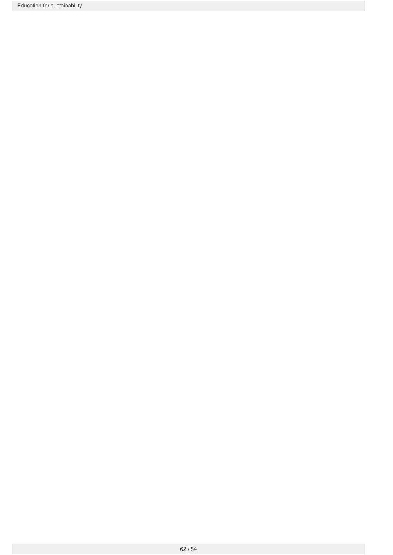Education for sustainability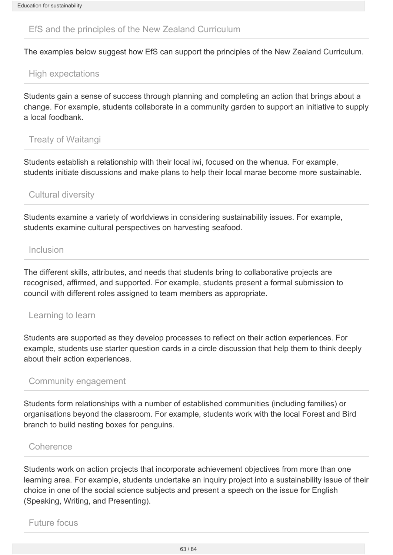### EfS and the principles of the New Zealand Curriculum

The examples below suggest how EfS can support the principles of the New Zealand Curriculum.

## High expectations

Students gain a sense of success through planning and completing an action that brings about a change. For example, students collaborate in a community garden to support an initiative to supply a local foodbank.

### Treaty of Waitangi

Students establish a relationship with their local iwi, focused on the whenua. For example, students initiate discussions and make plans to help their local marae become more sustainable.

## Cultural diversity

Students examine a variety of worldviews in considering sustainability issues. For example, students examine cultural perspectives on harvesting seafood.

### Inclusion

The different skills, attributes, and needs that students bring to collaborative projects are recognised, affirmed, and supported. For example, students present a formal submission to council with different roles assigned to team members as appropriate.

### Learning to learn

Students are supported as they develop processes to reflect on their action experiences. For example, students use starter question cards in a circle discussion that help them to think deeply about their action experiences.

# Community engagement

Students form relationships with a number of established communities (including families) or organisations beyond the classroom. For example, students work with the local Forest and Bird branch to build nesting boxes for penguins.

#### Coherence

Students work on action projects that incorporate achievement objectives from more than one learning area. For example, students undertake an inquiry project into a sustainability issue of their choice in one of the social science subjects and present a speech on the issue for English (Speaking, Writing, and Presenting).

Future focus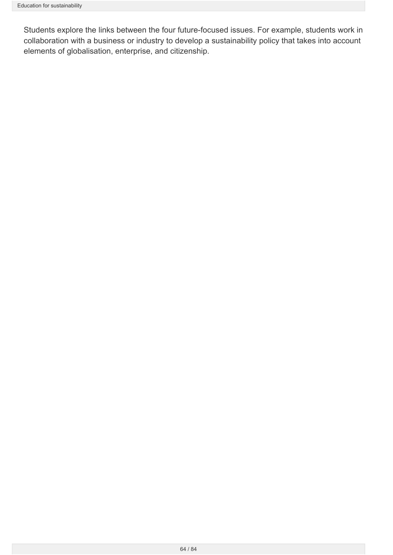Students explore the links between the four future-focused issues. For example, students work in collaboration with a business or industry to develop a sustainability policy that takes into account elements of globalisation, enterprise, and citizenship.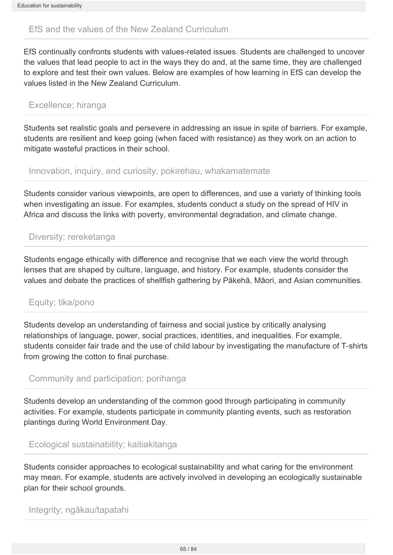# EfS and the values of the New Zealand Curriculum

EfS continually confronts students with values-related issues. Students are challenged to uncover the values that lead people to act in the ways they do and, at the same time, they are challenged to explore and test their own values. Below are examples of how learning in EfS can develop the values listed in the New Zealand Curriculum.

### Excellence; hiranga

Students set realistic goals and persevere in addressing an issue in spite of barriers. For example, students are resilient and keep going (when faced with resistance) as they work on an action to mitigate wasteful practices in their school.

### Innovation, inquiry, and curiosity; pokirehau, whakamatemate

Students consider various viewpoints, are open to differences, and use a variety of thinking tools when investigating an issue. For examples, students conduct a study on the spread of HIV in Africa and discuss the links with poverty, environmental degradation, and climate change.

# Diversity; rereketanga

Students engage ethically with difference and recognise that we each view the world through lenses that are shaped by culture, language, and history. For example, students consider the values and debate the practices of shellfish gathering by Pākehā, Māori, and Asian communities.

# Equity; tika/pono

Students develop an understanding of fairness and social justice by critically analysing relationships of language, power, social practices, identities, and inequalities. For example, students consider fair trade and the use of child labour by investigating the manufacture of T-shirts from growing the cotton to final purchase.

### Community and participation; porihanga

Students develop an understanding of the common good through participating in community activities. For example, students participate in community planting events, such as restoration plantings during World Environment Day.

Ecological sustainability; kaitiakitanga

Students consider approaches to ecological sustainability and what caring for the environment may mean. For example, students are actively involved in developing an ecologically sustainable plan for their school grounds.

Integrity; ngākau/tapatahi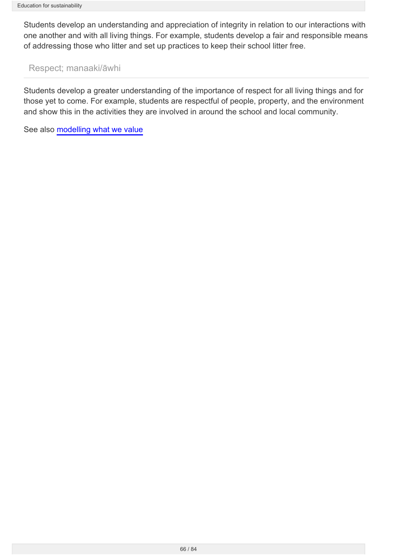Students develop an understanding and appreciation of integrity in relation to our interactions with one another and with all living things. For example, students develop a fair and responsible means of addressing those who litter and set up practices to keep their school litter free.

### Respect; manaaki/āwhi

Students develop a greater understanding of the importance of respect for all living things and for those yet to come. For example, students are respectful of people, property, and the environment and show this in the activities they are involved in around the school and local community.

See also [modelling what we value](http://seniorsecondary.tki.org.nz/Social-sciences/Education-for-sustainability/Pedagogy/Modelling-what-we-value)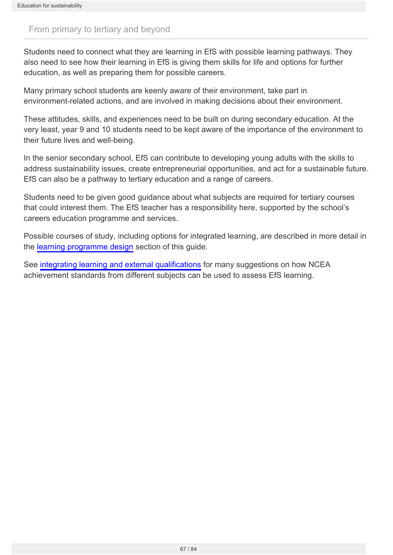## From primary to tertiary and beyond

Students need to connect what they are learning in EfS with possible learning pathways. They also need to see how their learning in EfS is giving them skills for life and options for further education, as well as preparing them for possible careers.

Many primary school students are keenly aware of their environment, take part in environment-related actions, and are involved in making decisions about their environment.

These attitudes, skills, and experiences need to be built on during secondary education. At the very least, year 9 and 10 students need to be kept aware of the importance of the environment to their future lives and well-being.

In the senior secondary school, EfS can contribute to developing young adults with the skills to address sustainability issues, create entrepreneurial opportunities, and act for a sustainable future. EfS can also be a pathway to tertiary education and a range of careers.

Students need to be given good guidance about what subjects are required for tertiary courses that could interest them. The EfS teacher has a responsibility here, supported by the school's careers education programme and services.

Possible courses of study, including options for integrated learning, are described in more detail in the [learning programme design](http://seniorsecondary.tki.org.nz/Social-sciences/Education-for-sustainability/Learning-programme-design) section of this guide.

See [integrating learning and external qualifications](http://seniorsecondary.tki.org.nz/Social-sciences/Education-for-sustainability/Pedagogy/Cross-curricular-learning-and-external-qualifications) for many suggestions on how NCEA achievement standards from different subjects can be used to assess EfS learning.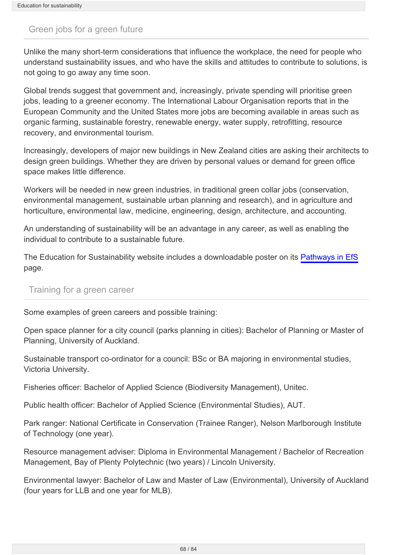### Green jobs for a green future

Unlike the many short-term considerations that influence the workplace, the need for people who understand sustainability issues, and who have the skills and attitudes to contribute to solutions, is not going to go away any time soon.

Global trends suggest that government and, increasingly, private spending will prioritise green jobs, leading to a greener economy. The International Labour Organisation reports that in the European Community and the United States more jobs are becoming available in areas such as organic farming, sustainable forestry, renewable energy, water supply, retrofitting, resource recovery, and environmental tourism.

Increasingly, developers of major new buildings in New Zealand cities are asking their architects to design green buildings. Whether they are driven by personal values or demand for green office space makes little difference.

Workers will be needed in new green industries, in traditional green collar jobs (conservation, environmental management, sustainable urban planning and research), and in agriculture and horticulture, environmental law, medicine, engineering, design, architecture, and accounting.

An understanding of sustainability will be an advantage in any career, as well as enabling the individual to contribute to a sustainable future.

The Education for Sustainability website includes a downloadable poster on its [Pathways in EfS](http://efs.tki.org.nz/Senior-secondary/Pathways) page.

### Training for a green career

Some examples of green careers and possible training:

Open space planner for a city council (parks planning in cities): Bachelor of Planning or Master of Planning, University of Auckland.

Sustainable transport co-ordinator for a council: BSc or BA majoring in environmental studies, Victoria University.

Fisheries officer: Bachelor of Applied Science (Biodiversity Management), Unitec.

Public health officer: Bachelor of Applied Science (Environmental Studies), AUT.

Park ranger: National Certificate in Conservation (Trainee Ranger), Nelson Marlborough Institute of Technology (one year).

Resource management adviser: Diploma in Environmental Management / Bachelor of Recreation Management, Bay of Plenty Polytechnic (two years) / Lincoln University.

Environmental lawyer: Bachelor of Law and Master of Law (Environmental), University of Auckland (four years for LLB and one year for MLB).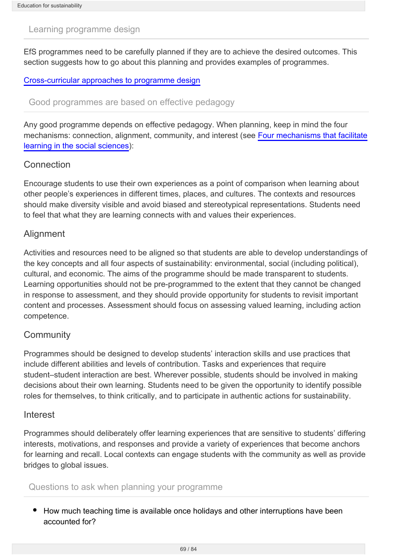### Learning programme design

EfS programmes need to be carefully planned if they are to achieve the desired outcomes. This section suggests how to go about this planning and provides examples of programmes.

#### [Cross-curricular approaches to programme design](http://seniorsecondary.tki.org.nz/Social-sciences/Education-for-sustainability/Learning-programme-design/Cross-curricular-approaches-to-programme-design)

#### Good programmes are based on effective pedagogy

Any good programme depends on effective pedagogy. When planning, keep in mind the four mechanisms: connection, alignment, community, and interest (see [Four mechanisms that facilitate](http://seniorsecondary.tki.org.nz/Social-sciences/Education-for-sustainability/Pedagogy/Four-mechanisms-learning-in-the-social-sciences) [learning in the social sciences](http://seniorsecondary.tki.org.nz/Social-sciences/Education-for-sustainability/Pedagogy/Four-mechanisms-learning-in-the-social-sciences)):

#### Connection

Encourage students to use their own experiences as a point of comparison when learning about other people's experiences in different times, places, and cultures. The contexts and resources should make diversity visible and avoid biased and stereotypical representations. Students need to feel that what they are learning connects with and values their experiences.

#### **Alignment**

Activities and resources need to be aligned so that students are able to develop understandings of the key concepts and all four aspects of sustainability: environmental, social (including political), cultural, and economic. The aims of the programme should be made transparent to students. Learning opportunities should not be pre-programmed to the extent that they cannot be changed in response to assessment, and they should provide opportunity for students to revisit important content and processes. Assessment should focus on assessing valued learning, including action competence.

### **Community**

Programmes should be designed to develop students' interaction skills and use practices that include different abilities and levels of contribution. Tasks and experiences that require student–student interaction are best. Wherever possible, students should be involved in making decisions about their own learning. Students need to be given the opportunity to identify possible roles for themselves, to think critically, and to participate in authentic actions for sustainability.

#### Interest

Programmes should deliberately offer learning experiences that are sensitive to students' differing interests, motivations, and responses and provide a variety of experiences that become anchors for learning and recall. Local contexts can engage students with the community as well as provide bridges to global issues.

#### Questions to ask when planning your programme

• How much teaching time is available once holidays and other interruptions have been accounted for?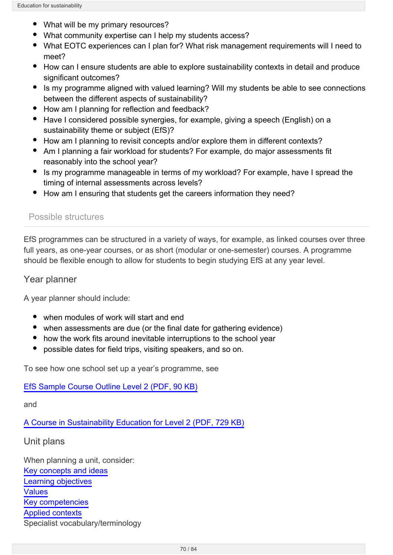- What will be my primary resources?
- What community expertise can I help my students access?
- What EOTC experiences can I plan for? What risk management requirements will I need to meet?
- How can I ensure students are able to explore sustainability contexts in detail and produce significant outcomes?
- Is my programme aligned with valued learning? Will my students be able to see connections between the different aspects of sustainability?
- How am I planning for reflection and feedback?
- Have I considered possible synergies, for example, giving a speech (English) on a sustainability theme or subject (EfS)?
- How am I planning to revisit concepts and/or explore them in different contexts?
- Am I planning a fair workload for students? For example, do major assessments fit reasonably into the school year?
- Is my programme manageable in terms of my workload? For example, have I spread the timing of internal assessments across levels?
- How am I ensuring that students get the careers information they need?

#### Possible structures

EfS programmes can be structured in a variety of ways, for example, as linked courses over three full years, as one-year courses, or as short (modular or one-semester) courses. A programme should be flexible enough to allow for students to begin studying EfS at any year level.

#### Year planner

A year planner should include:

- when modules of work will start and end
- when assessments are due (or the final date for gathering evidence)
- how the work fits around inevitable interruptions to the school year
- possible dates for field trips, visiting speakers, and so on.

To see how one school set up a year's programme, see

[EfS Sample Course Outline Level 2 \(PDF, 90 KB\)](http://seniorsecondary.tki.org.nz/content/download/792/5492/file/EfS sample course outline level 2.pdf)

and

[A Course in Sustainability Education for Level 2 \(PDF, 729 KB\)](http://seniorsecondary.tki.org.nz/content/download/795/5501/file/Akaroa course overview.pdf)

#### Unit plans

When planning a unit, consider: [Key concepts and ideas](http://seniorsecondary.tki.org.nz/Social-sciences/Education-for-sustainability/Key-concepts) [Learning objectives](http://seniorsecondary.tki.org.nz/Social-sciences/Education-for-sustainability/Learning-objectives) [Values](http://seniorsecondary.tki.org.nz/Social-sciences/Education-for-sustainability/Pedagogy/Modelling-what-we-value) [Key competencies](http://seniorsecondary.tki.org.nz/Social-sciences/Education-for-sustainability/Pedagogy/Developing-key-competencies-in-EfS) [Applied contexts](http://seniorsecondary.tki.org.nz/Social-sciences/Education-for-sustainability/Learning-objectives) Specialist vocabulary/terminology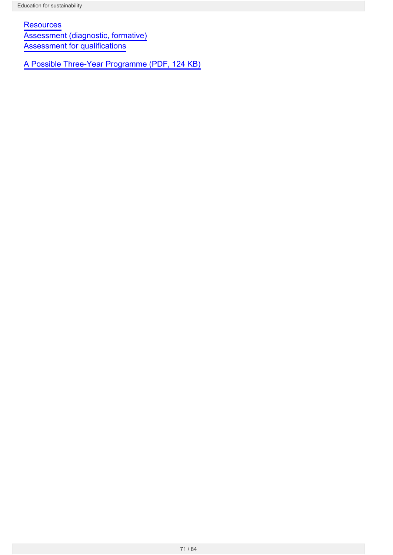**[Resources](http://seniorsecondary.tki.org.nz/Social-sciences/Education-for-sustainability/Resources)** [Assessment \(diagnostic, formative\)](http://seniorsecondary.tki.org.nz/Social-sciences/Education-for-sustainability/Pedagogy/Assessing-student-learning-in-EfS) [Assessment for qualifications](http://seniorsecondary.tki.org.nz/Social-sciences/Education-for-sustainability/Pedagogy/EfS-and-external-qualifications)

[A Possible Three-Year Programme \(PDF, 124 KB\)](http://seniorsecondary.tki.org.nz/content/download/793/5495/file/EfS sample three-year plan.pdf)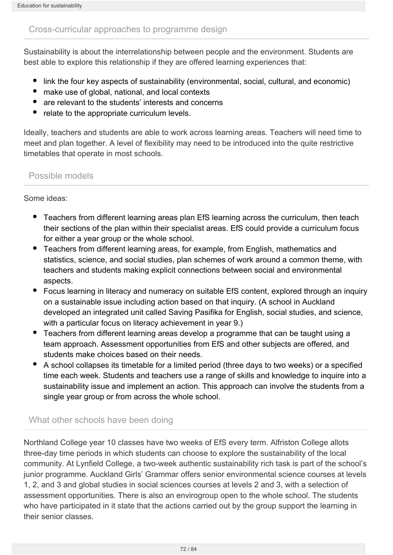### Cross-curricular approaches to programme design

Sustainability is about the interrelationship between people and the environment. Students are best able to explore this relationship if they are offered learning experiences that:

- link the four key aspects of sustainability (environmental, social, cultural, and economic)
- make use of global, national, and local contexts
- are relevant to the students' interests and concerns
- relate to the appropriate curriculum levels.

Ideally, teachers and students are able to work across learning areas. Teachers will need time to meet and plan together. A level of flexibility may need to be introduced into the quite restrictive timetables that operate in most schools.

## Possible models

Some ideas:

- Teachers from different learning areas plan EfS learning across the curriculum, then teach their sections of the plan within their specialist areas. EfS could provide a curriculum focus for either a year group or the whole school.
- Teachers from different learning areas, for example, from English, mathematics and statistics, science, and social studies, plan schemes of work around a common theme, with teachers and students making explicit connections between social and environmental aspects.
- Focus learning in literacy and numeracy on suitable EfS content, explored through an inquiry on a sustainable issue including action based on that inquiry. (A school in Auckland developed an integrated unit called Saving Pasifika for English, social studies, and science, with a particular focus on literacy achievement in year 9.)
- Teachers from different learning areas develop a programme that can be taught using a team approach. Assessment opportunities from EfS and other subjects are offered, and students make choices based on their needs.
- A school collapses its timetable for a limited period (three days to two weeks) or a specified time each week. Students and teachers use a range of skills and knowledge to inquire into a sustainability issue and implement an action. This approach can involve the students from a single year group or from across the whole school.

# What other schools have been doing

Northland College year 10 classes have two weeks of EfS every term. Alfriston College allots three-day time periods in which students can choose to explore the sustainability of the local community. At Lynfield College, a two-week authentic sustainability rich task is part of the school's junior programme. Auckland Girls' Grammar offers senior environmental science courses at levels 1, 2, and 3 and global studies in social sciences courses at levels 2 and 3, with a selection of assessment opportunities. There is also an envirogroup open to the whole school. The students who have participated in it state that the actions carried out by the group support the learning in their senior classes.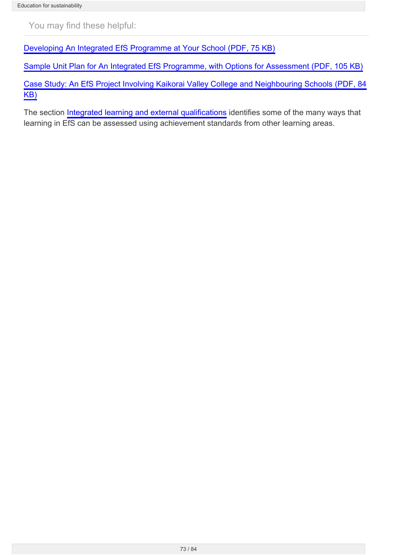You may find these helpful:

[Developing An Integrated EfS Programme at Your School \(PDF, 75 KB\)](http://seniorsecondary.tki.org.nz/content/download/799/5513/file/EFS sample programme.pdf)

[Sample Unit Plan for An Integrated EfS Programme, with Options for Assessment \(PDF, 105 KB\)](http://seniorsecondary.tki.org.nz/content/download/800/5516/file/EfS sample integrated unit plan.pdf)

[Case Study: An EfS Project Involving Kaikorai Valley College and Neighbouring Schools \(PDF, 84](http://seniorsecondary.tki.org.nz/content/download/801/5519/file/EFS sample case study.pdf) [KB\)](http://seniorsecondary.tki.org.nz/content/download/801/5519/file/EFS sample case study.pdf)

The section [Integrated learning and external qualifications](http://seniorsecondary.tki.org.nz/Social-sciences/Education-for-sustainability/Pedagogy/Cross-curricular-learning-and-external-qualifications) identifies some of the many ways that learning in EfS can be assessed using achievement standards from other learning areas.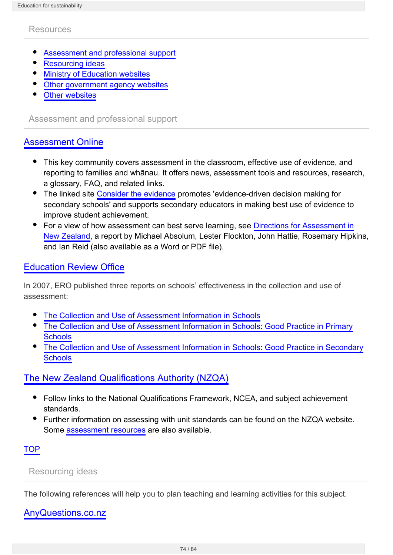#### Resources

- [Assessment and professional support](#page-73-0)
- [Resourcing ideas](#page-73-1)
- [Ministry of Education websites](#page-74-0)
- [Other government agency websites](#page-75-0)
- [Other websites](#page-76-0)

<span id="page-73-0"></span>Assessment and professional support

## [Assessment Online](http://www.tki.org.nz/r/assessment)

- This key community covers assessment in the classroom, effective use of evidence, and reporting to families and whānau. It offers news, assessment tools and resources, research, a glossary, FAQ, and related links.
- The linked site [Consider the evidence](http://assessment.tki.org.nz/Using-evidence-for-learning/Gathering-evidence/Topics/Consider-the-evidence) promotes 'evidence-driven decision making for secondary schools' and supports secondary educators in making best use of evidence to improve student achievement.
- For a view of how assessment can best serve learning, see [Directions for Assessment in](http://assessment.tki.org.nz/Media/Files/Directions-for-Assessment-in-New-Zealand) [New Zealand,](http://assessment.tki.org.nz/Media/Files/Directions-for-Assessment-in-New-Zealand) a report by Michael Absolum, Lester Flockton, John Hattie, Rosemary Hipkins, and Ian Reid (also available as a Word or PDF file).

## [Education Review Office](http://ero.govt.nz/)

In 2007, ERO published three reports on schools' effectiveness in the collection and use of assessment:

- $\bullet$ [The Collection and Use of Assessment Information in Schools](http://ero.govt.nz/National-Reports/The-Collection-and-Use-of-Assessment-Information-in-Schools-March-2007)
- [The Collection and Use of Assessment Information in Schools: Good Practice in Primary](http://ero.govt.nz/National-Reports/The-Collection-and-Use-of-Assessment-Information-Good-Practice-in-Primary-Schools-June-2007) **[Schools](http://ero.govt.nz/National-Reports/The-Collection-and-Use-of-Assessment-Information-Good-Practice-in-Primary-Schools-June-2007)**
- [The Collection and Use of Assessment Information in Schools: Good Practice in Secondary](http://ero.govt.nz/National-Reports/The-Collection-and-Use-of-Assessment-Information-Good-Practice-in-Secondary-Schools-June-2007) **[Schools](http://ero.govt.nz/National-Reports/The-Collection-and-Use-of-Assessment-Information-Good-Practice-in-Secondary-Schools-June-2007)**

## [The New Zealand Qualifications Authority \(NZQA\)](http://www.nzqa.govt.nz/)

- Follow links to the National Qualifications Framework, NCEA, and subject achievement standards.
- Further information on assessing with unit standards can be found on the NZQA website. Some [assessment resources](http://www.nzqa.govt.nz/providers-partners/assessment-and-moderation/assessment-of-standards/) are also available.

## TOP

### <span id="page-73-1"></span>Resourcing ideas

The following references will help you to plan teaching and learning activities for this subject.

## [AnyQuestions.co.nz](http://www.anyquestions.co.nz/)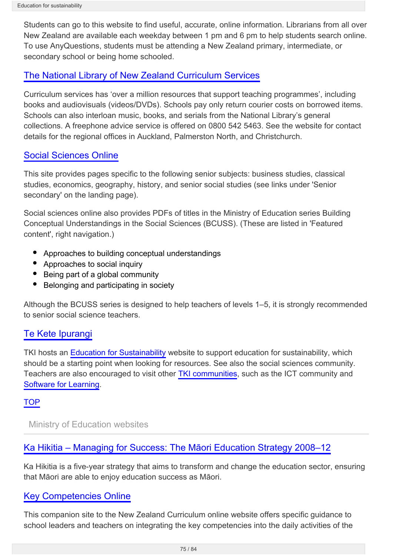Students can go to this website to find useful, accurate, online information. Librarians from all over New Zealand are available each weekday between 1 pm and 6 pm to help students search online. To use AnyQuestions, students must be attending a New Zealand primary, intermediate, or secondary school or being home schooled.

# [The National Library of New Zealand Curriculum Services](http://schools.natlib.govt.nz/curriculum-services-who-are-we)

Curriculum services has 'over a million resources that support teaching programmes', including books and audiovisuals (videos/DVDs). Schools pay only return courier costs on borrowed items. Schools can also interloan music, books, and serials from the National Library's general collections. A freephone advice service is offered on 0800 542 5463. See the website for contact details for the regional offices in Auckland, Palmerston North, and Christchurch.

# [Social Sciences Online](http://ssol.tki.org.nz/)

This site provides pages specific to the following senior subjects: business studies, classical studies, economics, geography, history, and senior social studies (see links under 'Senior secondary' on the landing page).

Social sciences online also provides PDFs of titles in the Ministry of Education series Building Conceptual Understandings in the Social Sciences (BCUSS). (These are listed in 'Featured content', right navigation.)

- Approaches to building conceptual understandings
- Approaches to social inquiry
- Being part of a global community
- Belonging and participating in society

Although the BCUSS series is designed to help teachers of levels 1–5, it is strongly recommended to senior social science teachers.

# [Te Kete Ipurangi](http://www.tki.org.nz)

TKI hosts an [Education for Sustainability](http://efs.tki.org.nz/) website to support education for sustainability, which should be a starting point when looking for resources. See also the social sciences community. Teachers are also encouraged to visit other [TKI communities](http://www.tki.org.nz/e/community/), such as the ICT community and [Software for Learning.](http://softwareforlearning.tki.org.nz/)

## **TOP**

<span id="page-74-0"></span>Ministry of Education websites

# [Ka Hikitia – Managing for Success: The Māori Education Strategy 2008–12](http://www.minedu.govt.nz/theMinistry/PolicyAndStrategy/KaHikitia.aspx)

Ka Hikitia is a five-year strategy that aims to transform and change the education sector, ensuring that Māori are able to enjoy education success as Māori.

# [Key Competencies Online](http://keycompetencies.tki.org.nz/)

This companion site to the New Zealand Curriculum online website offers specific guidance to school leaders and teachers on integrating the key competencies into the daily activities of the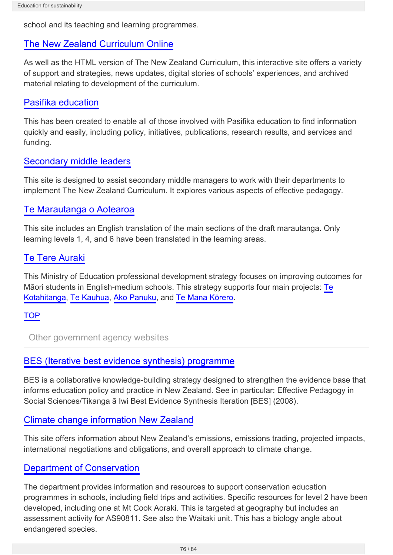school and its teaching and learning programmes.

# [The New Zealand Curriculum Online](http://nzcurriculum.tki.org.nz/)

As well as the HTML version of The New Zealand Curriculum, this interactive site offers a variety of support and strategies, news updates, digital stories of schools' experiences, and archived material relating to development of the curriculum.

## [Pasifika education](http://www.minedu.govt.nz/NZEducation/EducationPolicies/PasifikaEducation.aspx)

This has been created to enable all of those involved with Pasifika education to find information quickly and easily, including policy, initiatives, publications, research results, and services and funding.

## [Secondary middle leaders](http://nzcurriculum.tki.org.nz/Ministry-curriculum-guides/Secondary-middle-leaders)

This site is designed to assist secondary middle managers to work with their departments to implement The New Zealand Curriculum. It explores various aspects of effective pedagogy.

# [Te Marautanga o Aotearoa](http://tmoa.tki.org.nz/)

This site includes an English translation of the main sections of the draft marautanga. Only learning levels 1, 4, and 6 have been translated in the learning areas.

# [Te Tere Auraki](http://tetereauraki.tki.org.nz/)

This Ministry of Education professional development strategy focuses on improving outcomes for Māori students in English-medium schools. This strategy supports four main projects: [Te](http://tekotahitanga.tki.org.nz/) [Kotahitanga](http://tekotahitanga.tki.org.nz/), [Te Kauhua](http://tetereauraki.tki.org.nz/Te-Kauhua), [Ako Panuku,](http://www.akopanuku.tki.org.nz/) and [Te Mana Kōrero.](http://tetereauraki.tki.org.nz/Te-Mana-Korero)

## **TOP**

<span id="page-75-0"></span>Other government agency websites

# [BES \(Iterative best evidence synthesis\) programme](http://www.educationcounts.govt.nz/topics/BES)

BES is a collaborative knowledge-building strategy designed to strengthen the evidence base that informs education policy and practice in New Zealand. See in particular: Effective Pedagogy in Social Sciences/Tikanga ā Iwi Best Evidence Synthesis Iteration [BES] (2008).

## [Climate change information New Zealand](http://www.climatechange.govt.nz/)

This site offers information about New Zealand's emissions, emissions trading, projected impacts, international negotiations and obligations, and overall approach to climate change.

# [Department of Conservation](http://www.doc.govt.nz/)

The department provides information and resources to support conservation education programmes in schools, including field trips and activities. Specific resources for level 2 have been developed, including one at Mt Cook Aoraki. This is targeted at geography but includes an assessment activity for AS90811. See also the Waitaki unit. This has a biology angle about endangered species.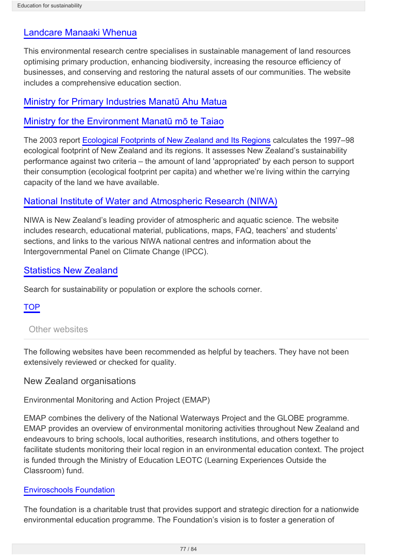# [Landcare Manaaki Whenua](http://www.landcareresearch.co.nz/)

This environmental research centre specialises in sustainable management of land resources optimising primary production, enhancing biodiversity, increasing the resource efficiency of businesses, and conserving and restoring the natural assets of our communities. The website includes a comprehensive education section.

# [Ministry for Primary Industries Manatū Ahu Matua](http://www.mpi.govt.nz/)

# [Ministry for the Environment Manatū mō te Taiao](http://www.mfe.govt.nz/index.html)

The 2003 report [Ecological Footprints of New Zealand and Its Regions](http://www.mfe.govt.nz/publications/ser/eco-footprint-sep03) calculates the 1997–98 ecological footprint of New Zealand and its regions. It assesses New Zealand's sustainability performance against two criteria – the amount of land 'appropriated' by each person to support their consumption (ecological footprint per capita) and whether we're living within the carrying capacity of the land we have available.

# [National Institute of Water and Atmospheric Research \(NIWA\)](http://www.niwa.co.nz/education-and-training/schools/schools)

NIWA is New Zealand's leading provider of atmospheric and aquatic science. The website includes research, educational material, publications, maps, FAQ, teachers' and students' sections, and links to the various NIWA national centres and information about the Intergovernmental Panel on Climate Change (IPCC).

# [Statistics New Zealand](http://www.stats.govt.nz/)

Search for sustainability or population or explore the schools corner.

**TOP** 

## <span id="page-76-0"></span>Other websites

The following websites have been recommended as helpful by teachers. They have not been extensively reviewed or checked for quality.

## New Zealand organisations

Environmental Monitoring and Action Project (EMAP)

EMAP combines the delivery of the National Waterways Project and the GLOBE programme. EMAP provides an overview of environmental monitoring activities throughout New Zealand and endeavours to bring schools, local authorities, research institutions, and others together to facilitate students monitoring their local region in an environmental education context. The project is funded through the Ministry of Education LEOTC (Learning Experiences Outside the Classroom) fund.

## [Enviroschools Foundation](http://www.enviroschools.org.nz/)

The foundation is a charitable trust that provides support and strategic direction for a nationwide environmental education programme. The Foundation's vision is to foster a generation of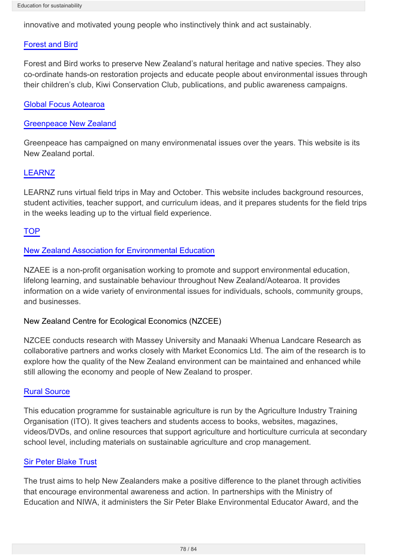innovative and motivated young people who instinctively think and act sustainably.

## [Forest and Bird](http://www.forestandbird.org.nz/home)

Forest and Bird works to preserve New Zealand's natural heritage and native species. They also co-ordinate hands-on restoration projects and educate people about environmental issues through their children's club, Kiwi Conservation Club, publications, and public awareness campaigns.

## [Global Focus Aotearoa](http://www.globalfocus.org.nz/)

## [Greenpeace New Zealand](http://www.greenpeace.org/new-zealand/en/)

Greenpeace has campaigned on many environmenatal issues over the years. This website is its New Zealand portal.

## [LEARNZ](http://www.learnz.org.nz/index.php)

LEARNZ runs virtual field trips in May and October. This website includes background resources, student activities, teacher support, and curriculum ideas, and it prepares students for the field trips in the weeks leading up to the virtual field experience.

### TOP

## [New Zealand Association for Environmental Education](http://www.nzaee.org.nz/)

NZAEE is a non-profit organisation working to promote and support environmental education, lifelong learning, and sustainable behaviour throughout New Zealand/Aotearoa. It provides information on a wide variety of environmental issues for individuals, schools, community groups, and businesses.

## New Zealand Centre for Ecological Economics (NZCEE)

NZCEE conducts research with Massey University and Manaaki Whenua Landcare Research as collaborative partners and works closely with Market Economics Ltd. The aim of the research is to explore how the quality of the New Zealand environment can be maintained and enhanced while still allowing the economy and people of New Zealand to prosper.

### [Rural Source](http://www.ruralsource.ac.nz/RP.jasc?session=C24C2B262E4D6B6B05190AB7F81AAF&Page=N0P2)

This education programme for sustainable agriculture is run by the Agriculture Industry Training Organisation (ITO). It gives teachers and students access to books, websites, magazines, videos/DVDs, and online resources that support agriculture and horticulture curricula at secondary school level, including materials on sustainable agriculture and crop management.

## [Sir Peter Blake Trust](http://www.sirpeterblaketrust.org/)

The trust aims to help New Zealanders make a positive difference to the planet through activities that encourage environmental awareness and action. In partnerships with the Ministry of Education and NIWA, it administers the Sir Peter Blake Environmental Educator Award, and the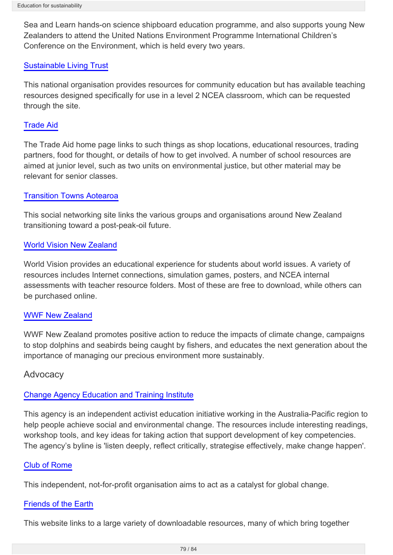Sea and Learn hands-on science shipboard education programme, and also supports young New Zealanders to attend the United Nations Environment Programme International Children's Conference on the Environment, which is held every two years.

## [Sustainable Living Trust](http://www.sustainableliving.org.nz/)

This national organisation provides resources for community education but has available teaching resources designed specifically for use in a level 2 NCEA classroom, which can be requested through the site.

### [Trade Aid](http://www.tradeaid.co.nz)

The Trade Aid home page links to such things as shop locations, educational resources, trading partners, food for thought, or details of how to get involved. A number of school resources are aimed at junior level, such as two units on environmental justice, but other material may be relevant for senior classes.

### [Transition Towns Aotearoa](http://www.transitiontowns.org.nz/)

This social networking site links the various groups and organisations around New Zealand transitioning toward a post-peak-oil future.

### [World Vision New Zealand](http://www.worldvision.org.nz/)

World Vision provides an educational experience for students about world issues. A variety of resources includes Internet connections, simulation games, posters, and NCEA internal assessments with teacher resource folders. Most of these are free to download, while others can be purchased online.

### [WWF New Zealand](http://www.wwf.org.nz/)

WWF New Zealand promotes positive action to reduce the impacts of climate change, campaigns to stop dolphins and seabirds being caught by fishers, and educates the next generation about the importance of managing our precious environment more sustainably.

## **Advocacy**

## [Change Agency Education and Training Institute](http://www.thechangeagency.org/)

This agency is an independent activist education initiative working in the Australia-Pacific region to help people achieve social and environmental change. The resources include interesting readings, workshop tools, and key ideas for taking action that support development of key competencies. The agency's byline is 'listen deeply, reflect critically, strategise effectively, make change happen'.

### [Club of Rome](http://www.clubofrome.org/)

This independent, not-for-profit organisation aims to act as a catalyst for global change.

### [Friends of the Earth](http://www.foei.org/)

This website links to a large variety of downloadable resources, many of which bring together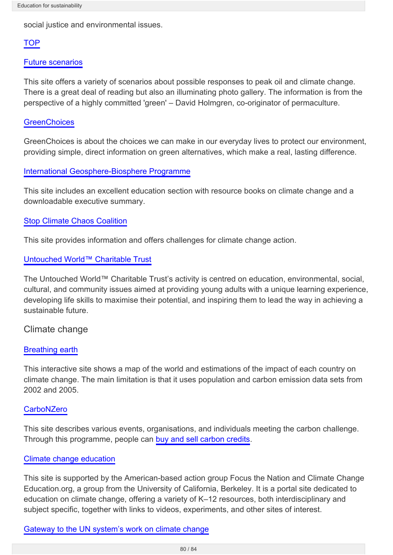social justice and environmental issues.

## **TOP**

#### [Future scenarios](http://www.futurescenarios.org/)

This site offers a variety of scenarios about possible responses to peak oil and climate change. There is a great deal of reading but also an illuminating photo gallery. The information is from the perspective of a highly committed 'green' – David Holmgren, co-originator of permaculture.

#### **[GreenChoices](http://www.greenchoices.org/green-living/energy/home-energy-monitors)**

GreenChoices is about the choices we can make in our everyday lives to protect our environment, providing simple, direct information on green alternatives, which make a real, lasting difference.

### [International Geosphere-Biosphere Programme](http://www.igbp.net/)

This site includes an excellent education section with resource books on climate change and a downloadable executive summary.

### [Stop Climate Chaos Coalition](http://www.stopclimatechaos.org/)

This site provides information and offers challenges for climate change action.

### [Untouched World™ Charitable Trust](http://www.untouchedworld.com/charitable-trust/Information)

The Untouched World™ Charitable Trust's activity is centred on education, environmental, social, cultural, and community issues aimed at providing young adults with a unique learning experience, developing life skills to maximise their potential, and inspiring them to lead the way in achieving a sustainable future.

### Climate change

#### [Breathing earth](http://www.breathingearth.net/)

This interactive site shows a map of the world and estimations of the impact of each country on climate change. The main limitation is that it uses population and carbon emission data sets from 2002 and 2005.

## **[CarboNZero](http://www.carbonzero.co.nz/)**

This site describes various events, organisations, and individuals meeting the carbon challenge. Through this programme, people can [buy and sell carbon credits.](http://www.ebex21.co.nz/)

### [Climate change education](http://www.climatechangeeducation.org/k-12/social_sciences.html)

This site is supported by the American-based action group Focus the Nation and Climate Change Education.org, a group from the University of California, Berkeley. It is a portal site dedicated to education on climate change, offering a variety of K–12 resources, both interdisciplinary and subject specific, together with links to videos, experiments, and other sites of interest.

### [Gateway to the UN system's work on climate change](http://www.un.org/wcm/content/site/climatechange/gateway)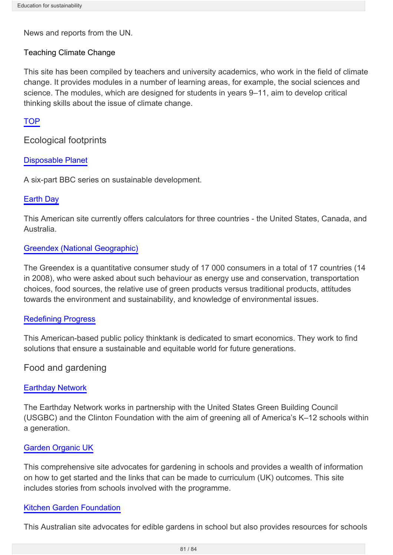News and reports from the UN.

### Teaching Climate Change

This site has been compiled by teachers and university academics, who work in the field of climate change. It provides modules in a number of learning areas, for example, the social sciences and science. The modules, which are designed for students in years 9–11, aim to develop critical thinking skills about the issue of climate change.

### **TOP**

Ecological footprints

### [Disposable Planet](http://news.bbc.co.uk/hi/english/static/in_depth/world/2002/disposable_planet/)

A six-part BBC series on sustainable development.

### [Earth Day](http://www.earthday.org/footprint-calculator)

This American site currently offers calculators for three countries - the United States, Canada, and Australia.

### [Greendex \(National Geographic\)](http://environment.nationalgeographic.com/environment/greendex/)

The Greendex is a quantitative consumer study of 17 000 consumers in a total of 17 countries (14 in 2008), who were asked about such behaviour as energy use and conservation, transportation choices, food sources, the relative use of green products versus traditional products, attitudes towards the environment and sustainability, and knowledge of environmental issues.

### [Redefining Progress](http://www.ecologicalfootprint.org/)

This American-based public policy thinktank is dedicated to smart economics. They work to find solutions that ensure a sustainable and equitable world for future generations.

## Food and gardening

### [Earthday Network](http://edu.earthday.org/)

The Earthday Network works in partnership with the United States Green Building Council (USGBC) and the Clinton Foundation with the aim of greening all of America's K–12 schools within a generation.

### [Garden Organic UK](http://www.gardenorganic.org.uk/organicgardening/schools.php)

This comprehensive site advocates for gardening in schools and provides a wealth of information on how to get started and the links that can be made to curriculum (UK) outcomes. This site includes stories from schools involved with the programme.

### [Kitchen Garden Foundation](http://www.kitchengardenfoundation.org.au/our-schools-program)

This Australian site advocates for edible gardens in school but also provides resources for schools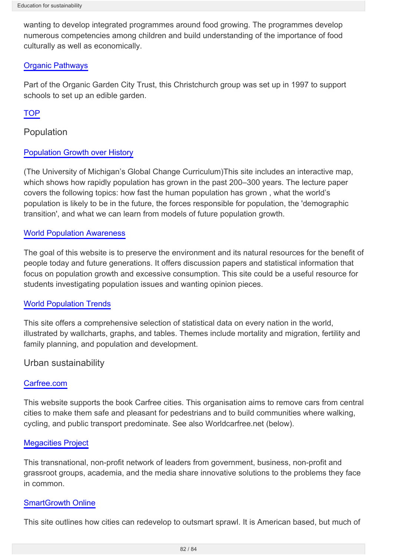wanting to develop integrated programmes around food growing. The programmes develop numerous competencies among children and build understanding of the importance of food culturally as well as economically.

## [Organic Pathways](http://www.organicpathways.co.nz/)

Part of the Organic Garden City Trust, this Christchurch group was set up in 1997 to support schools to set up an edible garden.

## **TOP**

Population

### [Population Growth over History](http://www.globalchange.umich.edu/globalchange2/current/lectures/human_pop/human_pop.html)

(The University of Michigan's Global Change Curriculum)This site includes an interactive map, which shows how rapidly population has grown in the past 200–300 years. The lecture paper covers the following topics: how fast the human population has grown , what the world's population is likely to be in the future, the forces responsible for population, the 'demographic transition', and what we can learn from models of future population growth.

### [World Population Awareness](http://www.overpopulation.org/)

The goal of this website is to preserve the environment and its natural resources for the benefit of people today and future generations. It offers discussion papers and statistical information that focus on population growth and excessive consumption. This site could be a useful resource for students investigating population issues and wanting opinion pieces.

### [World Population Trends](http://www.un.org/popin/wdtrends.htm)

This site offers a comprehensive selection of statistical data on every nation in the world, illustrated by wallcharts, graphs, and tables. Themes include mortality and migration, fertility and family planning, and population and development.

## Urban sustainability

### [Carfree.com](http://www.carfree.com/)

This website supports the book Carfree cities. This organisation aims to remove cars from central cities to make them safe and pleasant for pedestrians and to build communities where walking, cycling, and public transport predominate. See also Worldcarfree.net (below).

### [Megacities Project](http://www.megacitiesproject.org/)

This transnational, non-profit network of leaders from government, business, non-profit and grassroot groups, academia, and the media share innovative solutions to the problems they face in common.

### [SmartGrowth Online](http://www.smartgrowth.org/)

This site outlines how cities can redevelop to outsmart sprawl. It is American based, but much of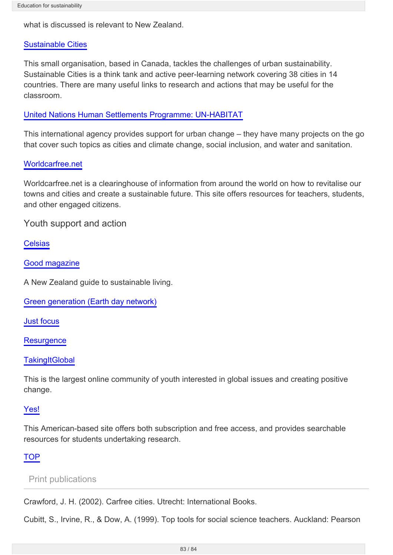what is discussed is relevant to New Zealand.

#### [Sustainable Cities](http://sustainablecities.net/)

This small organisation, based in Canada, tackles the challenges of urban sustainability. Sustainable Cities is a think tank and active peer-learning network covering 38 cities in 14 countries. There are many useful links to research and actions that may be useful for the classroom.

#### [United Nations Human Settlements Programme: UN-HABITAT](http://www.unhabitat.org/)

This international agency provides support for urban change – they have many projects on the go that cover such topics as cities and climate change, social inclusion, and water and sanitation.

#### [Worldcarfree.net](http://www.worldcarfree.net/)

Worldcarfree.net is a clearinghouse of information from around the world on how to revitalise our towns and cities and create a sustainable future. This site offers resources for teachers, students, and other engaged citizens.

Youth support and action

**[Celsias](http://www.celsias.com/)** 

[Good magazine](http://good.net.nz/)

A New Zealand guide to sustainable living.

[Green generation \(Earth day network\)](http://www.earthday.org/green-generation)

[Just focus](http://www.justfocus.org.nz/)

[Resurgence](http://www.resurgence.org/)

**[TakingItGlobal](http://www.tigweb.org/)** 

This is the largest online community of youth interested in global issues and creating positive change.

### [Yes!](http://www.yesmagazine.org/)

This American-based site offers both subscription and free access, and provides searchable resources for students undertaking research.

### **TOP**

Print publications

Crawford, J. H. (2002). Carfree cities. Utrecht: International Books.

Cubitt, S., Irvine, R., & Dow, A. (1999). Top tools for social science teachers. Auckland: Pearson